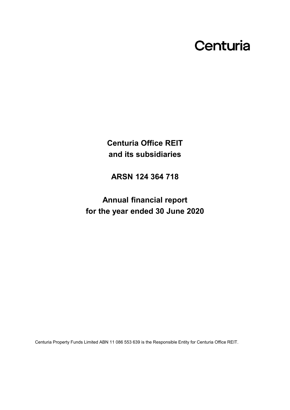# Centuria

**Centuria Office REIT and its subsidiaries**

**ARSN 124 364 718**

**Annual financial report for the year ended 30 June 2020**

Centuria Property Funds Limited ABN 11 086 553 639 is the Responsible Entity for Centuria Office REIT.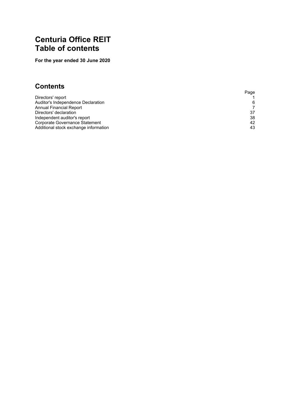# **Centuria Office REIT Table of contents**

**For the year ended 30 June 2020**

# **Contents**

|                                       | Page |
|---------------------------------------|------|
| Directors' report                     |      |
| Auditor's Independence Declaration    | 6    |
| Annual Financial Report               | 7    |
| Directors' declaration                | 37   |
| Independent auditor's report          | 38   |
| Corporate Governance Statement        | 42   |
| Additional stock exchange information | 43   |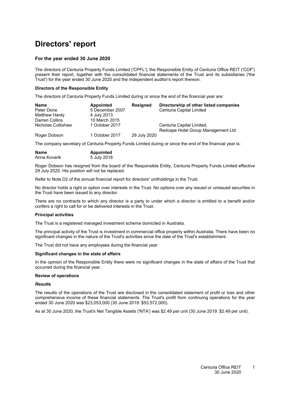# <span id="page-2-0"></span>**Directors' report**

### **For the year ended 30 June 2020**

The directors of Centuria Property Funds Limited ('CPFL'), the Responsible Entity of Centuria Office REIT ('COF') present their report, together with the consolidated financial statements of the Trust and its subsidiaries ('the Trust') for the year ended 30 June 2020 and the independent auditor's report thereon.

#### **Directors of the Responsible Entity**

The directors of Centuria Property Funds Limited during or since the end of the financial year are:

| Name               | <b>Appointed</b> | <b>Resigned</b> | Directorship of other listed companies |
|--------------------|------------------|-----------------|----------------------------------------|
| Peter Done         | 5 December 2007  |                 | Centuria Capital Limited               |
| Matthew Hardy      | 4 July 2013      |                 |                                        |
| Darren Collins     | 10 March 2015    |                 |                                        |
| Nicholas Collishaw | 1 October 2017   |                 | Centuria Capital Limited,              |
|                    |                  |                 | Redcape Hotel Group Management Ltd     |
| Roger Dobson       | 1 October 2017   | 29 July 2020    |                                        |

The company secretary of Centuria Property Funds Limited during or since the end of the financial year is:

| Name         | <b>Appointed</b> |
|--------------|------------------|
| Anna Kovarik | 5 July 2018      |

Roger Dobson has resigned from the board of the Responsible Entity, Centuria Property Funds Limited effective 29 July 2020. His position will not be replaced.

Refer to Note [D2](#page-30-0) of the annual financial report for directors' unitholdings in the Trust.

No director holds a right or option over interests in the Trust. No options over any issued or unissued securities in the Trust have been issued to any director.

There are no contracts to which any director is a party to under which a director is entitled to a benefit and/or confers a right to call for or be delivered interests in the Trust.

#### **Principal activities**

The Trust is a registered managed investment scheme domiciled in Australia.

The principal activity of the Trust is investment in commercial office property within Australia. There have been no significant changes in the nature of the Trust's activities since the date of the Trust's establishment.

The Trust did not have any employees during the financial year.

#### **Significant changes in the state of affairs**

In the opinion of the Responsible Entity there were no significant changes in the state of affairs of the Trust that occurred during the financial year.

#### **Review of operations**

#### *Results*

The results of the operations of the Trust are disclosed in the consolidated statement of profit or loss and other comprehensive income of these financial statements. The Trust's profit from continuing operations for the year ended 30 June 2020 was \$23,053,000 (30 June 2019: \$53,572,000).

As at 30 June 2020, the Trust's Net Tangible Assets ('NTA') was \$2.49 per unit (30 June 2019: \$2.49 per unit).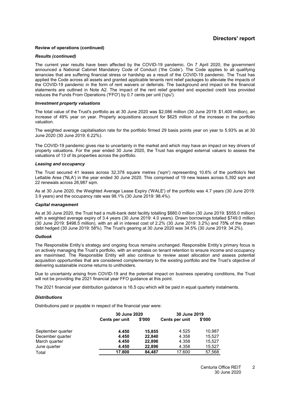### **Directors' report**

#### **Review of operations (continued)**

#### *Results (continued)*

The current year results have been affected by the COVID-19 pandemic. On 7 April 2020, the government announced a National Cabinet Mandatory Code of Conduct ('the Code'). The Code applies to all qualifying tenancies that are suffering financial stress or hardship as a result of the COVID-19 pandemic. The Trust has applied the Code across all assets and granted applicable tenants rent relief packages to alleviate the impacts of the COVID-19 pandemic in the form of rent waivers or deferrals. The background and impact on the financial statements are outlined in Note [A2.](#page-14-0) The impact of the rent relief granted and expected credit loss provided reduces the Funds From Operations ('FFO') by 0.7 cents per unit ('cpu').

#### *Investment property valuations*

The total value of the Trust's portfolio as at 30 June 2020 was \$2,086 million (30 June 2019: \$1,400 million), an increase of 49% year on year. Property acquisitions account for \$625 million of the increase in the portfolio valuation.

The weighted average capitalisation rate for the portfolio firmed 29 basis points year on year to 5.93% as at 30 June 2020 (30 June 2019: 6.22%).

The COVID-19 pandemic gives rise to uncertainty in the market and which may have an impact on key drivers of property valuations. For the year ended 30 June 2020, the Trust has engaged external valuers to assess the valuations of 13 of its properties across the portfolio.

#### *Leasing and occupancy*

The Trust secured 41 leases across 32,378 square metres ('sqm') representing 10.6% of the portfolio's Net Lettable Area ('NLA') in the year ended 30 June 2020. This comprised of 19 new leases across 5,392 sqm and 22 renewals across 26,987 sqm.

As at 30 June 2020, the Weighted Average Lease Expiry ('WALE') of the portfolio was 4.7 years (30 June 2019: 3.9 years) and the occupancy rate was 98.1% (30 June 2019: 98.4%).

#### *Capital management*

As at 30 June 2020, the Trust had a multi-bank debt facility totalling \$880.0 million (30 June 2019: \$555.0 million) with a weighted average expiry of 3.4 years (30 June 2019: 4.0 years). Drawn borrowings totalled \$749.0 million (30 June 2019: \$498.5 million), with an all in interest cost of 2.2% (30 June 2019: 3.2%) and 75**%** of the drawn debt hedged (30 June 2019: 58%). The Trust's gearing at 30 June 2020 was 34.5% (30 June 2019: 34.2%).

#### *Outlook*

The Responsible Entity's strategy and ongoing focus remains unchanged. Responsible Entity's primary focus is on actively managing the Trust's portfolio, with an emphasis on tenant retention to ensure income and occupancy are maximised. The Responsible Entity will also continue to review asset allocation and assess potential acquisition opportunities that are considered complementary to the existing portfolio and the Trust's objective of delivering sustainable income returns to unitholders.

Due to uncertainty arising from COVID-19 and the potential impact on business operating conditions, the Trust will not be providing the 2021 financial year FFO guidance at this point.

The 2021 financial year distribution guidance is 16.5 cpu which will be paid in equal quarterly instalments.

#### *Distributions*

Distributions paid or payable in respect of the financial year were:

|                   |                | 30 June 2020 |                | 30 June 2019 |
|-------------------|----------------|--------------|----------------|--------------|
|                   | Cents per unit | \$'000       | Cents per unit | \$'000       |
| September quarter | 4.450          | 15.855       | 4.525          | 10.987       |
| December quarter  | 4.450          | 22,840       | 4.358          | 15.527       |
| March quarter     | 4.450          | 22,896       | 4.358          | 15.527       |
| June quarter      | 4.450          | 22,896       | 4.358          | 15,527       |
| Total             | 17.800         | 84.487       | 17.600         | 57,568       |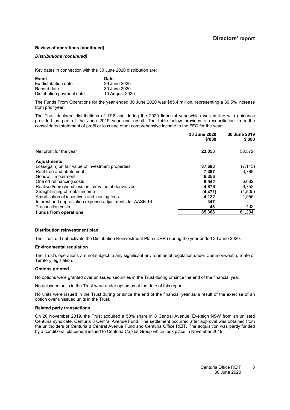#### **Review of operations (continued)**

#### *Distributions (continued)*

Key dates in connection with the 30 June 2020 distribution are:

| Event                     | <b>Date</b>    |
|---------------------------|----------------|
| Ex-distribution date      | 29 June 2020   |
| Record date               | 30 June 2020   |
| Distribution payment date | 10 August 2020 |

The Funds From Operations for the year ended 30 June 2020 was \$85.4 million, representing a 39.5% increase from prior year.

The Trust declared distributions of 17.8 cpu during the 2020 financial year which was in line with guidance provided as part of the June 2019 year end result. The table below provides a reconciliation from the consolidated statement of profit or loss and other comprehensive income to the FFO for the year:

|                                                           | 30 June 2020<br>\$'000 | 30 June 2019<br>\$'000 |
|-----------------------------------------------------------|------------------------|------------------------|
| Net profit for the year                                   | 23,053                 | 53,572                 |
| <b>Adjustments</b>                                        |                        |                        |
| Loss/(gain) on fair value of investment properties        | 37,698                 | (7, 143)               |
| Rent free and abatement                                   | 7,397                  | 3.788                  |
| Goodwill impairment                                       | 6,356                  |                        |
| One off refinancing costs                                 | 5,942                  | 6,682                  |
| Realised/unrealised loss on fair value of derivatives     | 4,876                  | 6,752                  |
| Straight-lining of rental income                          | (4, 471)               | (4, 805)               |
| Amortisation of incentives and leasing fees               | 4,122                  | 1.955                  |
| Interest and depreciation expense adjustments for AASB 16 | 347                    |                        |
| <b>Transaction costs</b>                                  | 48                     | 403                    |
| <b>Funds from operations</b>                              | 85,368                 | 61,204                 |

#### **Distribution reinvestment plan**

The Trust did not activate the Distribution Reinvestment Plan ('DRP') during the year ended 30 June 2020.

#### **Environmental regulation**

The Trust's operations are not subject to any significant environmental regulation under Commonwealth, State or Territory legislation.

#### **Options granted**

No options were granted over unissued securities in the Trust during or since the end of the financial year.

No unissued units in the Trust were under option as at the date of this report.

No units were issued in the Trust during or since the end of the financial year as a result of the exercise of an option over unissued units in the Trust.

#### **Related party transactions**

On 20 November 2019, the Trust acquired a 50% share in 8 Central Avenue, Eveleigh NSW from an unlisted Centuria syndicate, Centuria 8 Central Avenue Fund. The settlement occurred after approval was obtained from the unitholders of Centuria 8 Central Avenue Fund and Centuria Office REIT. The acquisition was partly funded by a conditional placement issued to Centuria Capital Group which took place in November 2019.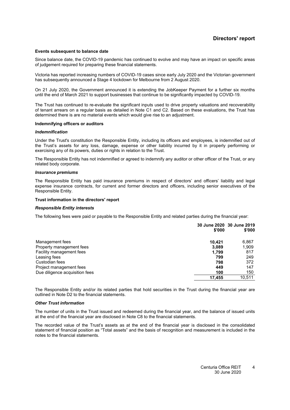#### **Events subsequent to balance date**

Since balance date, the COVID-19 pandemic has continued to evolve and may have an impact on specific areas of judgement required for preparing these financial statements.

Victoria has reported increasing numbers of COVID-19 cases since early July 2020 and the Victorian government has subsequently announced a Stage 4 lockdown for Melbourne from 2 August 2020.

On 21 July 2020, the Government announced it is extending the JobKeeper Payment for a further six months until the end of March 2021 to support businesses that continue to be significantly impacted by COVID-19.

The Trust has continued to re-evaluate the significant inputs used to drive property valuations and recoverability of tenant arrears on a regular basis as detailed in Note [C1](#page-19-0) and [C2.](#page-13-0) Based on these evaluations, the Trust has determined there is are no material events which would give rise to an adjustment.

#### **Indemnifying officers or auditors**

#### *Indemnification*

Under the Trust's constitution the Responsible Entity, including its officers and employees, is indemnified out of the Trust's assets for any loss, damage, expense or other liability incurred by it in properly performing or exercising any of its powers, duties or rights in relation to the Trust.

The Responsible Entity has not indemnified or agreed to indemnify any auditor or other officer of the Trust, or any related body corporate.

#### *Insurance premiums*

The Responsible Entity has paid insurance premiums in respect of directors' and officers' liability and legal expense insurance contracts, for current and former directors and officers, including senior executives of the Responsible Entity.

#### **Trust information in the directors' report**

#### *Responsible Entity interests*

The following fees were paid or payable to the Responsible Entity and related parties during the financial year:

|                                | \$'000 | 30 June 2020 30 June 2019<br>\$'000 |
|--------------------------------|--------|-------------------------------------|
| Management fees                | 10.421 | 6,867                               |
| Property management fees       | 3.089  | 1,909                               |
| Facility management fees       | 1.799  | 817                                 |
| Leasing fees                   | 799    | 249                                 |
| Custodian fees                 | 798    | 372                                 |
| Project management fees        | 449    | 147                                 |
| Due diligence acquisition fees | 100    | 150                                 |
|                                | 17,455 | 10,511                              |

The Responsible Entity and/or its related parties that hold securities in the Trust during the financial year are outlined in Note [D2](#page-30-0) to the financial statements.

#### *Other Trust information*

The number of units in the Trust issued and redeemed during the financial year, and the balance of issued units at the end of the financial year are disclosed in Note [C8](#page-28-0) to the financial statements.

The recorded value of the Trust's assets as at the end of the financial year is disclosed in the consolidated statement of financial position as "Total assets" and the basis of recognition and measurement is included in the notes to the financial statements.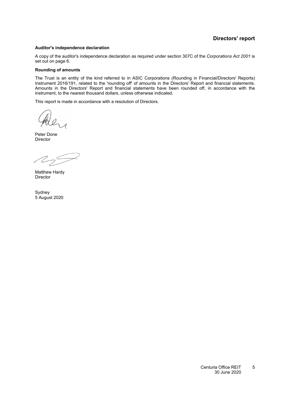### **Directors' report**

#### <span id="page-6-0"></span>**Auditor's independence declaration**

A copy of the auditor's independence declaration as required under section 307C of the *Corporations Act 2001* is set out on page [6.](#page-6-0)

#### **Rounding of amounts**

The Trust is an entity of the kind referred to in ASIC Corporations (Rounding in Financial/Directors' Reports) Instrument 2016/191, related to the 'rounding off' of amounts in the Directors' Report and financial statements. Amounts in the Directors' Report and financial statements have been rounded off, in accordance with the instrument, to the nearest thousand dollars, unless otherwise indicated.

This report is made in accordance with a resolution of Directors.

they

Peter Done **Director** 

 $225$ 

Matthew Hardy Director

Sydney 5 August 2020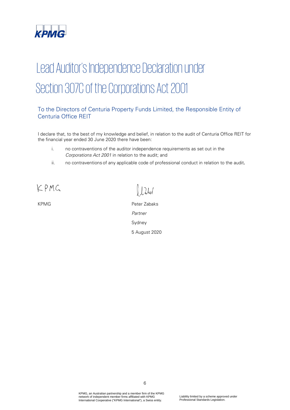

# Lead Auditor's Independence Declaration under Section 307C of the Corporations Act 2001

### To the Directors of Centuria Property Funds Limited, the Responsible Entity of Centuria Office REIT

I declare that, to the best of my knowledge and belief, in relation to the audit of Centuria Office REIT for the financial year ended 30 June 2020 there have been:

- i. no contraventions of the auditor independence requirements as set out in the Corporations Act 2001 in relation to the audit; and
- ii. no contraventions of any applicable code of professional conduct in relation to the audit.

KPMG

 $12$ led

KPMG Peter Zabaks Partner Sydney 5 August 2020

> KPMG, an Australian partnership and a member firm of the KPMG network of independent member firms affiliated with KPMG International Cooperative ("KPMG International"), a Swiss entity.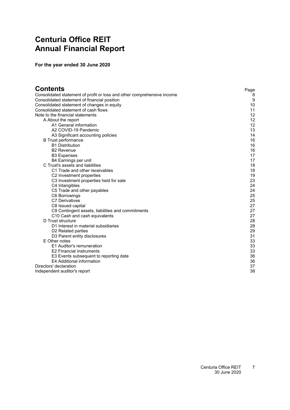# <span id="page-8-0"></span>**Centuria Office REIT Annual Financial Report**

**For the year ended 30 June 2020**

| Contents                                                                | Page |
|-------------------------------------------------------------------------|------|
| Consolidated statement of profit or loss and other comprehensive income | 8    |
| Consolidated statement of financial position                            | 9    |
| Consolidated statement of changes in equity                             | 10   |
| Consolidated statement of cash flows                                    | 11   |
| Note to the financial statements                                        | 12   |
| A About the report                                                      | 12   |
| A1 General information                                                  | 12   |
| A2 COVID-19 Pandemic                                                    | 13   |
| A3 Significant accounting policies                                      | 14   |
| <b>B</b> Trust performance                                              | 16   |
| <b>B1 Distribution</b>                                                  | 16   |
| <b>B2 Revenue</b>                                                       | 16   |
| <b>B3 Expenses</b>                                                      | 17   |
| B4 Earnings per unit                                                    | 17   |
| C Trust's assets and liabilities                                        | 18   |
| C1 Trade and other receivables                                          | 18   |
| C <sub>2</sub> Investment properties                                    | 19   |
| C3 Investment properties held for sale                                  | 23   |
| C4 Intangibles                                                          | 24   |
| C5 Trade and other payables                                             | 24   |
| C6 Borrowings                                                           | 25   |
| <b>C7 Derivatives</b>                                                   | 25   |
| C8 Issued capital                                                       | 27   |
| C9 Contingent assets, liabilities and commitments                       | 27   |
| C10 Cash and cash equivalents                                           | 27   |
| D Trust structure                                                       | 28   |
| D1 Interest in material subsidiaries                                    | 28   |
| D <sub>2</sub> Related parties                                          | 29   |
| D3 Parent entity disclosures                                            | 31   |
| E Other notes                                                           | 33   |
| E1 Auditor's remuneration                                               | 33   |
| <b>E2 Financial instruments</b>                                         | 33   |
| E3 Events subsequent to reporting date                                  | 36   |
| E4 Additional information                                               | 36   |
| Directors' declaration                                                  | 37   |
| Independent auditor's report                                            | 38   |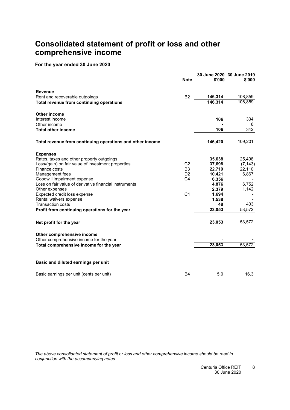# <span id="page-9-0"></span>**Consolidated statement of profit or loss and other comprehensive income**

### **For the year ended 30 June 2020**

|                                                           | <b>Note</b>    | \$'000  | 30 June 2020 30 June 2019<br>\$'000 |
|-----------------------------------------------------------|----------------|---------|-------------------------------------|
| <b>Revenue</b>                                            |                |         |                                     |
| Rent and recoverable outgoings                            | B <sub>2</sub> | 146,314 | 108,859                             |
| Total revenue from continuing operations                  |                | 146,314 | 108,859                             |
| <b>Other income</b>                                       |                |         |                                     |
| Interest income                                           |                | 106     | 334                                 |
| Other income                                              |                |         | 8                                   |
| <b>Total other income</b>                                 |                | 106     | $\overline{342}$                    |
| Total revenue from continuing operations and other income |                | 146,420 | 109,201                             |
| <b>Expenses</b>                                           |                |         |                                     |
| Rates, taxes and other property outgoings                 |                | 35,638  | 25,498                              |
| Loss/(gain) on fair value of investment properties        | C <sub>2</sub> | 37,698  | (7, 143)                            |
| Finance costs                                             | B <sub>3</sub> | 22,719  | 22,110                              |
| Management fees                                           | D <sub>2</sub> | 10,421  | 6,867                               |
| Goodwill impairment expense                               | C <sub>4</sub> | 6,356   |                                     |
| Loss on fair value of derivative financial instruments    |                | 4,876   | 6,752                               |
| Other expenses                                            |                | 2,379   | 1,142                               |
| Expected credit loss expense                              | C <sub>1</sub> | 1,694   |                                     |
| Rental waivers expense                                    |                | 1,538   | 403                                 |
| <b>Transaction costs</b>                                  |                | 48      |                                     |
| Profit from continuing operations for the year            |                | 23,053  | 53,572                              |
| Net profit for the year                                   |                | 23,053  | 53,572                              |
| Other comprehensive income                                |                |         |                                     |
| Other comprehensive income for the year                   |                |         |                                     |
| Total comprehensive income for the year                   |                | 23,053  | 53,572                              |
| Basic and diluted earnings per unit                       |                |         |                                     |
| Basic earnings per unit (cents per unit)                  | <b>B4</b>      | 5.0     | 16.3                                |

*The above consolidated statement of profit or loss and other comprehensive income should be read in conjunction with the accompanying notes.*

> Centuria Office REIT 30 June 2020 8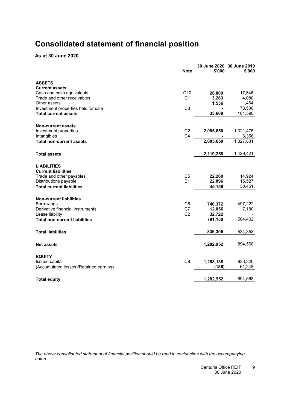# <span id="page-10-0"></span>**Consolidated statement of financial position**

**As at 30 June 2020**

|                                        | <b>Note</b>    | \$'000    | 30 June 2020 30 June 2019<br>\$'000 |
|----------------------------------------|----------------|-----------|-------------------------------------|
| <b>ASSETS</b>                          |                |           |                                     |
| <b>Current assets</b>                  |                |           |                                     |
| Cash and cash equivalents              | C10            | 28,809    | 17,546                              |
| Trade and other receivables            | C <sub>1</sub> | 3,263     | 4,080                               |
| Other assets                           |                | 1,536     | 1,464                               |
| Investment properties held for sale    | C <sub>3</sub> |           | 78,500                              |
| <b>Total current assets</b>            |                | 33,608    | 101,590                             |
| <b>Non-current assets</b>              |                |           |                                     |
| Investment properties                  | C <sub>2</sub> | 2,085,650 | 1,321,475                           |
| Intangibles                            | C <sub>4</sub> |           | 6,356                               |
| <b>Total non-current assets</b>        |                | 2,085,650 | 1,327,831                           |
| <b>Total assets</b>                    |                | 2,119,258 | 1,429,421                           |
| <b>LIABILITIES</b>                     |                |           |                                     |
| <b>Current liabilities</b>             |                |           |                                     |
| Trade and other payables               | C <sub>5</sub> | 22,260    | 14,924                              |
| Distributions payable                  | <b>B1</b>      | 22,896    | 15,527                              |
| <b>Total current liabilities</b>       |                | 45,156    | 30,451                              |
| <b>Non-current liabilities</b>         |                |           |                                     |
| <b>Borrowings</b>                      | C6             | 746,372   | 497,222                             |
| Derivative financial instruments       | C7             | 12,056    | 7,180                               |
| Lease liability                        | C <sub>2</sub> | 32,722    |                                     |
| Total non-current liabilities          |                | 791,150   | 504,402                             |
| <b>Total liabilities</b>               |                | 836,306   | 534,853                             |
| <b>Net assets</b>                      |                | 1,282,952 | 894,568                             |
| <b>EQUITY</b>                          |                |           |                                     |
| Issued capital                         | C <sub>8</sub> | 1,283,138 | 833,320                             |
| (Accumulated losses)/Retained earnings |                | (186)     | 61,248                              |
|                                        |                | 1,282,952 | 894,568                             |
| <b>Total equity</b>                    |                |           |                                     |

*The above consolidated statement of financial position should be read in conjunction with the accompanying notes.*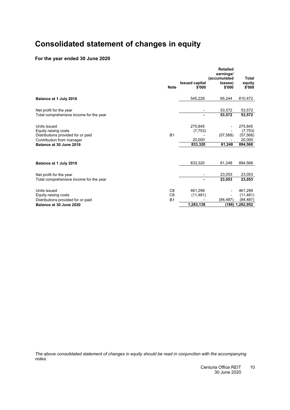# <span id="page-11-0"></span>**Consolidated statement of changes in equity**

### **For the year ended 30 June 2020**

|                                         |                | <b>Issued capital</b> | <b>Retailed</b><br>earnings/<br>(accumulated<br>losses) | Total<br>equity |
|-----------------------------------------|----------------|-----------------------|---------------------------------------------------------|-----------------|
|                                         | <b>Note</b>    | \$'000                | \$'000                                                  | \$'000          |
| Balance at 1 July 2018                  |                | 545,228               | 65,244                                                  | 610,472         |
| Net profit for the year                 |                |                       | 53,572                                                  | 53,572          |
| Total comprehensive income for the year |                |                       | 53,572                                                  | 53,572          |
| Units issued                            |                | 275,845               |                                                         | 275,845         |
| Equity raising costs                    |                | (7, 753)              |                                                         | (7, 753)        |
| Distributions provided for or paid      | <b>B1</b>      |                       | (57, 568)                                               | (57, 568)       |
| Contribution from manager               |                | 20.000                |                                                         | 20,000          |
| Balance at 30 June 2019                 |                | 833,320               | 61,248                                                  | 894,568         |
| Balance at 1 July 2019                  |                | 833,320               | 61,248                                                  | 894,568         |
|                                         |                |                       |                                                         |                 |
| Net profit for the year                 |                |                       | 23,053                                                  | 23,053          |
| Total comprehensive income for the year |                |                       | 23.053                                                  | 23,053          |
| Units issued                            | C <sub>8</sub> | 461,299               |                                                         | 461,299         |
| Equity raising costs                    | C <sub>8</sub> | (11, 481)             |                                                         | (11, 481)       |
| Distributions provided for or paid      | <b>B1</b>      |                       | (84, 487)                                               | (84, 487)       |
| Balance at 30 June 2020                 |                | 1,283,138             | (186)                                                   | 1,282,952       |

*The above consolidated statement of changes in equity should be read in conjunction with the accompanying notes.*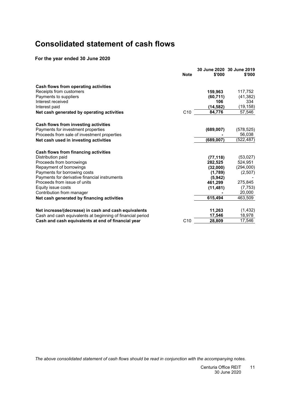# <span id="page-12-0"></span>**Consolidated statement of cash flows**

### **For the year ended 30 June 2020**

|                                                            | <b>Note</b>     | \$'000     | 30 June 2020 30 June 2019<br>\$'000 |
|------------------------------------------------------------|-----------------|------------|-------------------------------------|
| Cash flows from operating activities                       |                 |            |                                     |
| Receipts from customers                                    |                 | 159,963    | 117,752                             |
| Payments to suppliers                                      |                 | (60, 711)  | (41, 382)                           |
| Interest received                                          |                 | 106        | 334                                 |
| Interest paid                                              |                 | (14, 582)  | (19, 158)                           |
| Net cash generated by operating activities                 | C <sub>10</sub> | 84,776     | 57,546                              |
| Cash flows from investing activities                       |                 |            |                                     |
| Payments for investment properties                         |                 | (689, 007) | (578, 525)                          |
| Proceeds from sale of investment properties                |                 |            | 56,038                              |
| Net cash used in investing activities                      |                 | (689, 007) | (522,487)                           |
| Cash flows from financing activities                       |                 |            |                                     |
| Distribution paid                                          |                 | (77, 118)  | (53,027)                            |
| Proceeds from borrowings                                   |                 | 282,525    | 524,951                             |
| Repayment of borrowings                                    |                 | (32,000)   | (294,000)                           |
| Payments for borrowing costs                               |                 | (1,789)    | (2,507)                             |
| Payments for derivative financial instruments              |                 | (5,942)    |                                     |
| Proceeds from issue of units                               |                 | 461,299    | 275,845                             |
| Equity issue costs                                         |                 | (11, 481)  | (7, 753)                            |
| Contribution from manager                                  |                 |            | 20,000                              |
| Net cash generated by financing activities                 |                 | 615.494    | 463,509                             |
| Net increase/(decrease) in cash and cash equivalents       |                 | 11,263     | (1, 432)                            |
| Cash and cash equivalents at beginning of financial period |                 | 17,546     | 18,978                              |
| Cash and cash equivalents at end of financial year         | C <sub>10</sub> | 28,809     | 17,546                              |
|                                                            |                 |            |                                     |

*The above consolidated statement of cash flows should be read in conjunction with the accompanying notes.*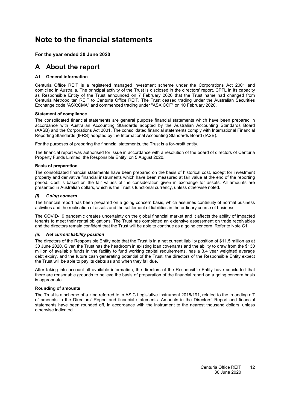# <span id="page-13-3"></span><span id="page-13-0"></span>**Note to the financial statements**

### <span id="page-13-1"></span>**For the year ended 30 June 2020**

### <span id="page-13-2"></span>**A About the report**

### **[A1](#page-13-2) General information**

Centuria Office REIT is a registered managed investment scheme under the Corporations Act 2001 and domiciled in Australia. The principal activity of the Trust is disclosed in the directors' report. CPFL in its capacity as Responsible Entity of the Trust announced on 7 February 2020 that the Trust name had changed from Centuria Metropolitan REIT to Centuria Office REIT. The Trust ceased trading under the Australian Securities Exchange code "ASX:CMA" and commenced trading under "ASX:COF" on 10 February 2020.

#### **Statement of compliance**

The consolidated financial statements are general purpose financial statements which have been prepared in accordance with Australian Accounting Standards adopted by the Australian Accounting Standards Board (AASB) and the Corporations Act 2001. The consolidated financial statements comply with International Financial Reporting Standards (IFRS) adopted by the International Accounting Standards Board (IASB).

For the purposes of preparing the financial statements, the Trust is a for-profit entity.

The financial report was authorised for issue in accordance with a resolution of the board of directors of Centuria Property Funds Limited, the Responsible Entity, on 5 August 2020.

#### **Basis of preparation**

The consolidated financial statements have been prepared on the basis of historical cost, except for investment property and derivative financial instruments which have been measured at fair value at the end of the reporting period. Cost is based on the fair values of the consideration given in exchange for assets. All amounts are presented in Australian dollars, which is the Trust's functional currency, unless otherwise noted.

#### *(i) Going concern*

The financial report has been prepared on a going concern basis, which assumes continuity of normal business activities and the realisation of assets and the settlement of liabilities in the ordinary course of business.

The COVID-19 pandemic creates uncertainty on the global financial market and it affects the ability of impacted tenants to meet their rental obligations. The Trust has completed an extensive assessment on trade receivables and the directors remain confident that the Trust will be able to continue as a going concern. Refer to Note [C1.](#page-19-0)

#### *(ii) Net current liability position*

The directors of the Responsible Entity note that the Trust is in a net current liability position of \$11.5 million as at 30 June 2020. Given the Trust has the headroom in existing loan covenants and the ability to draw from the \$130 million of available funds in the facility to fund working capital requirements, has a 3.4 year weighted average debt expiry, and the future cash generating potential of the Trust, the directors of the Responsible Entity expect the Trust will be able to pay its debts as and when they fall due.

After taking into account all available information, the directors of the Responsible Entity have concluded that there are reasonable grounds to believe the basis of preparation of the financial report on a going concern basis is appropriate.

### **Rounding of amounts**

The Trust is a scheme of a kind referred to in ASIC Legislative Instrument 2016/191, related to the 'rounding off' of amounts in the Directors' Report and financial statements. Amounts in the Directors' Report and financial statements have been rounded off, in accordance with the instrument to the nearest thousand dollars, unless otherwise indicated.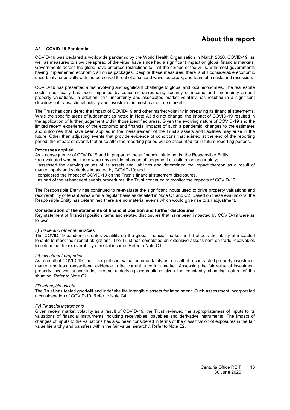# **About the report**

### <span id="page-14-0"></span>**[A2](#page-14-0) COVID-19 Pandemic**

COVID-19 was declared a worldwide pandemic by the World Health Organisation in March 2020. COVID-19, as well as measures to slow the spread of the virus, have since had a significant impact on global financial markets. Governments across the globe have enforced restrictions to limit the spread of the virus, with most governments having implemented economic stimulus packages. Despite these measures, there is still considerable economic uncertainty, especially with the perceived threat of a 'second wave' outbreak, and fears of a sustained recession.

COVID-19 has presented a fast evolving and significant challenge to global and local economies. The real estate sector specifically has been impacted by concerns surrounding security of income and uncertainty around property valuations. In addition, this uncertainty and associated market volatility has resulted in a significant slowdown of transactional activity and investment in most real estate markets.

The Trust has considered the impact of COVID-19 and other market volatility in preparing its financial statements. While the specific areas of judgement as noted in Note [A3](#page-15-0) did not change, the impact of COVID-19 resulted in the application of further judgement within those identified areas. Given the evolving nature of COVID-19 and the limited recent experience of the economic and financial impacts of such a pandemic, changes to the estimates and outcomes that have been applied in the measurement of the Trust's assets and liabilities may arise in the future. Other than adjusting events that provide evidence of conditions that existed at the end of the reporting period, the impact of events that arise after the reporting period will be accounted for in future reporting periods.

#### **Processes applied**

As a consequence of COVID-19 and in preparing these financial statements, the Responsible Entity:

• re-evaluated whether there were any additional areas of judgement or estimation uncertainty;

• assessed the carrying values of its assets and liabilities and determined the impact thereon as a result of market inputs and variables impacted by COVID-19; and

• considered the impact of COVID-19 on the Trust's financial statement disclosures.

• as part of the subsequent events procedures, the Trust continued to monitor the impacts of COVID-19.

The Responsible Entity has continued to re-evaluate the significant inputs used to drive property valuations and recoverability of tenant arrears on a regular basis as detailed in Note C1 and C2. Based on these evaluations, the Responsible Entity has determined there are no material events which would give rise to an adjustment.

#### **Consideration of the statements of financial position and further disclosures**

Key statement of financial position items and related disclosures that have been impacted by COVID-19 were as follows:

#### *(i) Trade and other receivables*

The COVID-19 pandemic creates volatility on the global financial market and it affects the ability of impacted tenants to meet their rental obligations. The Trust has completed an extensive assessment on trade receivables to determine the recoverability of rental income. Refer to Note [C1.](#page-19-0)

#### *(ii) Investment properties*

As a result of COVID-19, there is significant valuation uncertainty as a result of a contracted property investment market and less transactional evidence in the current uncertain market. Assessing the fair value of investment property involves uncertainties around underlying assumptions given the constantly changing nature of the situation. Refer to Note [C2.](#page-13-0)

#### *(iii) Intangible assets*

The Trust has tested goodwill and indefinite life intangible assets for impairment. Such assessment incorporated a consideration of COVID-19. Refer to Note [C4.](#page-25-0)

#### *(iv) Financial instruments*

Given recent market volatility as a result of COVID-19, the Trust reviewed the appropriateness of inputs to its valuations of financial instruments including receivables, payables and derivative instruments. The impact of changes of inputs to the valuations has also been considered in terms of the classification of exposures in the fair value hierarchy and transfers within the fair value hierarchy. Refer to Note [E2.](#page-34-2)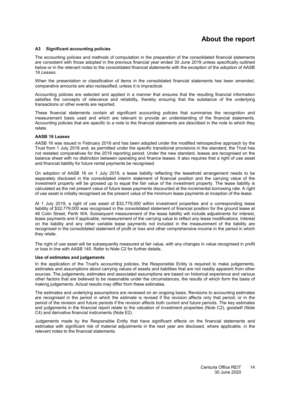# **About the report**

#### <span id="page-15-1"></span><span id="page-15-0"></span>**[A3](#page-15-0) Significant accounting policies**

The accounting policies and methods of computation in the preparation of the consolidated financial statements are consistent with those adopted in the previous financial year ended 30 June 2019 unless specifically outlined below or in the relevant notes to the consolidated financial statements with the exception of the adoption of AASB 16 *Leases*.

When the presentation or classification of items in the consolidated financial statements has been amended, comparative amounts are also reclassified, unless it is impractical.

Accounting policies are selected and applied in a manner that ensures that the resulting financial information satisfies the concepts of relevance and reliability, thereby ensuring that the substance of the underlying transactions or other events are reported.

These financial statements contain all significant accounting policies that summarise the recognition and measurement basis used and which are relevant to provide an understanding of the financial statements. Accounting policies that are specific to a note to the financial statements are described in the note to which they relate.

#### **AASB 16 Leases**

AASB 16 was issued in February 2016 and has been adopted under the modified retrospective approach by the Trust from 1 July 2019 and, as permitted under the specific transitional provisions in the standard, the Trust has not restated comparatives for the 2019 reporting period. Under the new standard, leases are recognised on the balance sheet with no distinction between operating and finance leases. It also requires that a right of use asset and financial liability for future rental payments be recognised.

On adoption of AASB 16 on 1 July 2019, a lease liability reflecting the leasehold arrangement needs to be separately disclosed in the consolidated interim statement of financial position and the carrying value of the investment property will be grossed up to equal the fair value of the investment property. The lease liability is calculated as the net present value of future lease payments discounted at the incremental borrowing rate. A right of use asset is initially recognised as the present value of the minimum lease payments at inception of the lease.

At 1 July 2019, a right of use asset of \$32,779,000 within investment properties and a corresponding lease liability of \$32,779,000 was recognised in the consolidated statement of financial position for the ground lease at 46 Colin Street, Perth WA. Subsequent measurement of the lease liability will include adjustments for interest, lease payments and if applicable, remeasurement of the carrying value to reflect any lease modifications. Interest on the liability and any other variable lease payments not included in the measurement of the liability are recognised in the consolidated statement of profit or loss and other comprehensive income in the period in which they relate.

The right of use asset will be subsequently measured at fair value, with any changes in value recognised in profit or loss in line with AASB 140. Refer to Note [C2](#page-13-0) for further details.

#### **Use of estimates and judgements**

In the application of the Trust's accounting policies, the Responsible Entity is required to make judgements, estimates and assumptions about carrying values of assets and liabilities that are not readily apparent from other sources. The judgements, estimates and associated assumptions are based on historical experience and various other factors that are believed to be reasonable under the circumstances, the results of which form the basis of making judgements. Actual results may differ from these estimates.

The estimates and underlying assumptions are reviewed on an ongoing basis. Revisions to accounting estimates are recognised in the period in which the estimate is revised if the revision affects only that period; or in the period of the revision and future periods if the revision affects both current and future periods. The key estimates and judgements in the financial report relate to the valuation of investment properties (Note [C2\)](#page-13-0), goodwill (Note [C4\)](#page-25-0) and derivative financial instruments (Note [E2\)](#page-34-2).

Judgements made by the Responsible Entity that have significant effects on the financial statements and estimates with significant risk of material adjustments in the next year are disclosed, where applicable, in the relevant notes to the financial statements.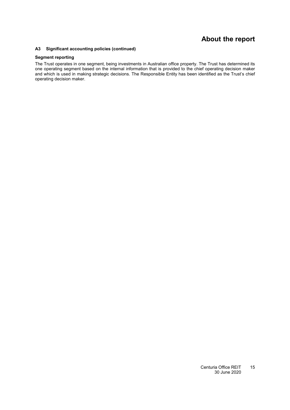# **About the report**

#### **[A3](#page-15-0) Significant accounting policies (continued)**

### **Segment reporting**

The Trust operates in one segment, being investments in Australian office property. The Trust has determined its one operating segment based on the internal information that is provided to the chief operating decision maker and which is used in making strategic decisions. The Responsible Entity has been identified as the Trust's chief operating decision maker.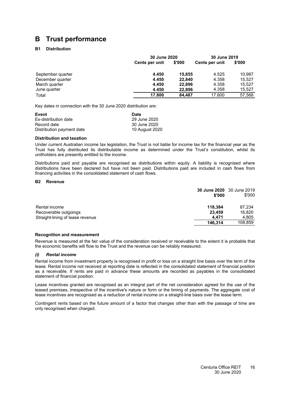# <span id="page-17-1"></span><span id="page-17-0"></span>**B Trust performance**

### **[B1](#page-17-1) Distribution**

|                   | 30 June 2020   |        | 30 June 2019   |        |
|-------------------|----------------|--------|----------------|--------|
|                   | Cents per unit | \$'000 | Cents per unit | \$'000 |
| September quarter | 4.450          | 15,855 | 4.525          | 10.987 |
| December quarter  | 4.450          | 22.840 | 4.358          | 15.527 |
| March quarter     | 4.450          | 22.896 | 4.358          | 15.527 |
| June quarter      | 4.450          | 22,896 | 4.358          | 15,527 |
| Total             | 17.800         | 84.487 | 17.600         | 57,568 |

Key dates in connection with the 30 June 2020 distribution are:

| Event                     | Date           |
|---------------------------|----------------|
| Ex-distribution date      | 29 June 2020   |
| Record date               | 30 June 2020   |
| Distribution payment date | 10 August 2020 |

#### **Distribution and taxation**

Under current Australian income tax legislation, the Trust is not liable for income tax for the financial year as the Trust has fully distributed its distributable income as determined under the Trust's constitution, whilst its unitholders are presently entitled to the income.

Distributions paid and payable are recognised as distributions within equity. A liability is recognised where distributions have been declared but have not been paid. Distributions paid are included in cash flows from financing activities in the consolidated statement of cash flows.

#### <span id="page-17-2"></span>**[B2](#page-17-2) Revenue**

|                                  | 30 June 2020 30 June 2019<br>\$'000 | \$'000  |
|----------------------------------|-------------------------------------|---------|
| Rental income                    | 118.384                             | 87,234  |
| Recoverable outgoings            | 23.459                              | 16,820  |
| Straight-lining of lease revenue | 4.471                               | 4,805   |
|                                  | 146.314                             | 108,859 |

#### **Recognition and measurement**

Revenue is measured at the fair value of the consideration received or receivable to the extent it is probable that the economic benefits will flow to the Trust and the revenue can be reliably measured.

#### *(i) Rental income*

Rental income from investment property is recognised in profit or loss on a straight line basis over the term of the lease. Rental income not received at reporting date is reflected in the consolidated statement of financial position as a receivable. If rents are paid in advance these amounts are recorded as payables in the consolidated statement of financial position.

Lease incentives granted are recognised as an integral part of the net consideration agreed for the use of the leased premises, irrespective of the incentive's nature or form or the timing of payments. The aggregate cost of lease incentives are recognised as a reduction of rental income on a straight-line basis over the lease term.

Contingent rents based on the future amount of a factor that changes other than with the passage of time are only recognised when charged.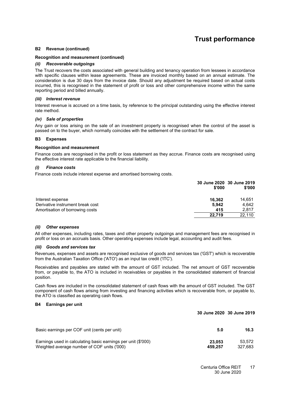# **Trust performance**

#### **[B2](#page-17-2) Revenue (continued)**

#### **Recognition and measurement (continued)**

#### *(ii) Recoverable outgoings*

The Trust recovers the costs associated with general building and tenancy operation from lessees in accordance with specific clauses within lease agreements. These are invoiced monthly based on an annual estimate. The consideration is due 30 days from the invoice date. Should any adjustment be required based on actual costs incurred, this is recognised in the statement of profit or loss and other comprehensive income within the same reporting period and billed annually.

#### *(iii) Interest revenue*

Interest revenue is accrued on a time basis, by reference to the principal outstanding using the effective interest rate method.

#### *(iv) Sale of properties*

<span id="page-18-0"></span>Any gain or loss arising on the sale of an investment property is recognised when the control of the asset is passed on to the buyer, which normally coincides with the settlement of the contract for sale.

#### **[B3](#page-18-0) Expenses**

#### **Recognition and measurement**

Finance costs are recognised in the profit or loss statement as they accrue. Finance costs are recognised using the effective interest rate applicable to the financial liability.

#### *(i) Finance costs*

Finance costs include interest expense and amortised borrowing costs.

|                                  | \$'000 | 30 June 2020 30 June 2019<br>\$'000 |
|----------------------------------|--------|-------------------------------------|
| Interest expense                 | 16.362 | 14.651                              |
| Derivative instrument break cost | 5.942  | 4.642                               |
| Amortisation of borrowing costs  | 415    | 2.817                               |
|                                  | 22.719 | 22.110                              |

#### *(ii) Other expenses*

All other expenses, including rates, taxes and other property outgoings and management fees are recognised in profit or loss on an accruals basis. Other operating expenses include legal, accounting and audit fees.

#### *(iii) Goods and services tax*

Revenues, expenses and assets are recognised exclusive of goods and services tax ('GST') which is recoverable from the Australian Taxation Office ('ATO') as an input tax credit ('ITC').

Receivables and payables are stated with the amount of GST included. The net amount of GST recoverable from, or payable to, the ATO is included in receivables or payables in the consolidated statement of financial position.

Cash flows are included in the consolidated statement of cash flows with the amount of GST included. The GST component of cash flows arising from investing and financing activities which is recoverable from, or payable to, the ATO is classified as operating cash flows.

#### <span id="page-18-1"></span>**[B4](#page-18-1) Earnings per unit**

#### **30 June 2020 30 June 2019**

| Basic earnings per COF unit (cents per unit)                  | 5.0     | 16.3    |
|---------------------------------------------------------------|---------|---------|
| Earnings used in calculating basic earnings per unit (\$'000) | 23.053  | 53.572  |
| Weighted average number of COF units ('000)                   | 459.257 | 327.683 |

Centuria Office REIT 30 June 2020 17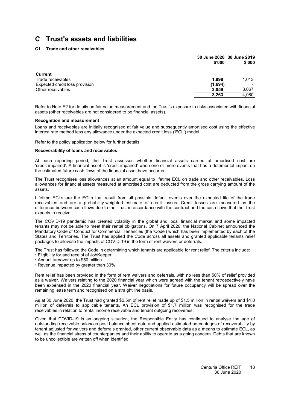### <span id="page-19-0"></span>**[C1](#page-19-0) Trade and other receivables**

|                                | \$'000  | 30 June 2020 30 June 2019<br>\$'000 |
|--------------------------------|---------|-------------------------------------|
|                                |         |                                     |
| <b>Current</b>                 |         |                                     |
| Trade receivables              | 1.898   | 1.013                               |
| Expected credit loss provision | (1,694) |                                     |
| Other receivables              | 3,059   | 3,067                               |
|                                | 3,263   | 4,080                               |
|                                |         |                                     |

Refer to Note [E2](#page-34-2) for details on fair value measurement and the Trust's exposure to risks associated with financial assets (other receivables are not considered to be financial assets).

#### **Recognition and measurement**

Loans and receivables are initially recognised at fair value and subsequently amortised cost using the effective interest rate method less any allowance under the expected credit loss ('ECL') model.

Refer to the policy application below for further details.

#### **Recoverability of loans and receivables**

At each reporting period, the Trust assesses whether financial assets carried at amortised cost are 'credit-impaired'. A financial asset is 'credit-impaired' when one or more events that has a detrimental impact on the estimated future cash flows of the financial asset have occurred.

The Trust recognises loss allowances at an amount equal to lifetime ECL on trade and other receivables. Loss allowances for financial assets measured at amortised cost are deducted from the gross carrying amount of the assets.

Lifetime ECLs are the ECLs that result from all possible default events over the expected life of the trade receivables and are a probability-weighted estimate of credit losses. Credit losses are measured as the difference between cash flows due to the Trust in accordance with the contract and the cash flows that the Trust expects to receive.

The COVID-19 pandemic has created volatility in the global and local financial market and some impacted tenants may not be able to meet their rental obligations. On 7 April 2020, the National Cabinet announced the Mandatory Code of Conduct for Commercial Tenancies (the 'Code') which has been implemented by each of the States and Territories. The Trust has applied the Code across all assets and granted applicable tenants relief packages to alleviate the impacts of COVID-19 in the form of rent waivers or deferrals.

The Trust has followed the Code in determining which tenants are applicable for rent relief. The criteria include:

- Eligibility for and receipt of JobKeeper
- Annual turnover up to \$50 million
- Revenue impacted by greater than 30%

Rent relief has been provided in the form of rent waivers and deferrals, with no less than 50% of relief provided as a waiver. Waivers relating to the 2020 financial year which were agreed with the tenant retrospectively have been expensed in the 2020 financial year. Waiver negotiations for future occupancy will be spread over the remaining lease term and recognised on a straight line basis.

As at 30 June 2020, the Trust had granted \$2.5m of rent relief made up of \$1.5 million in rental waivers and \$1.0 million of deferrals to applicable tenants. An ECL provision of \$1.7 million was recognised for the trade receivables in relation to rental income receivable and tenant outgoing recoveries.

Given that COVID-19 is an ongoing situation, the Responsible Entity has continued to analyse the age of outstanding receivable balances post balance sheet date and applied estimated percentages of recoverability by tenant adjusted for waivers and deferrals granted, other current observable data as a means to estimate ECL, as well as the financial stress of counterparties and their ability to operate as a going concern. Debts that are known to be uncollectible are written off when identified.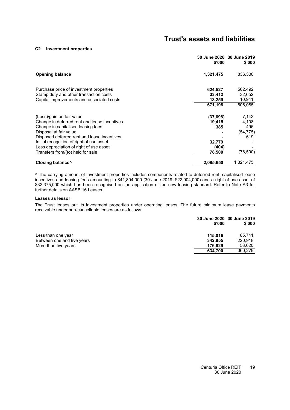#### **[C2](#page-13-0) Investment properties**

|                                                                                                                                                                                                                                       | \$'000                                 | 30 June 2020 30 June 2019<br>\$'000       |
|---------------------------------------------------------------------------------------------------------------------------------------------------------------------------------------------------------------------------------------|----------------------------------------|-------------------------------------------|
| <b>Opening balance</b>                                                                                                                                                                                                                | 1,321,475                              | 836,300                                   |
| Purchase price of investment properties<br>Stamp duty and other transaction costs<br>Capital improvements and associated costs                                                                                                        | 624,527<br>33,412<br>13,259<br>671,198 | 562,492<br>32,652<br>10,941<br>606,085    |
| (Loss)/gain on fair value<br>Change in deferred rent and lease incentives<br>Change in capitalised leasing fees<br>Disposal at fair value<br>Disposed deferred rent and lease incentives<br>Initial recognition of right of use asset | (37, 698)<br>19,415<br>385<br>32,779   | 7,143<br>4,108<br>495<br>(54, 775)<br>619 |
| Less depreciation of right of use asset<br>Transfers from/(to) held for sale<br>Closing balance <sup>^</sup>                                                                                                                          | (404)<br>78,500<br>2,085,650           | (78,500)<br>1,321,475                     |

^ The carrying amount of investment properties includes components related to deferred rent, capitalised lease incentives and leasing fees amounting to \$41,804,000 (30 June 2019: \$22,004,000) and a right of use asset of \$32,375,000 which has been recognised on the application of the new leasing standard. Refer to Note [A3](#page-15-0) for further details on AASB 16 Leases.

#### **Leases as lessor**

The Trust leases out its investment properties under operating leases. The future minimum lease payments receivable under non-cancellable leases are as follows:

|                            | \$'000  | 30 June 2020 30 June 2019<br>\$'000 |
|----------------------------|---------|-------------------------------------|
| Less than one year         | 115.016 | 85.741                              |
| Between one and five years | 342.855 | 220.918                             |
| More than five years       | 176.829 | 53,620                              |
|                            | 634,700 | 360,279                             |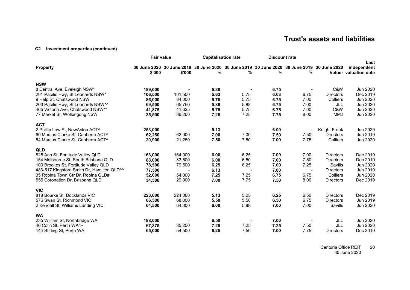### **[C2](#page-13-3) Investment properties (continued)**

|                                                        | <b>Fair value</b> |         | <b>Capitalisation rate</b> |                                                                                            | <b>Discount rate</b> |                          |                  |                       |
|--------------------------------------------------------|-------------------|---------|----------------------------|--------------------------------------------------------------------------------------------|----------------------|--------------------------|------------------|-----------------------|
| <b>Property</b>                                        |                   |         |                            | 30 June 2020 30 June 2019 30 June 2020 30 June 2019 30 June 2020 30 June 2019 30 June 2020 |                      |                          |                  | Last<br>independent   |
|                                                        | \$'000            | \$'000  | %                          | $\%$                                                                                       | %                    | ℅                        |                  | Valuer valuation date |
| <b>NSW</b>                                             |                   |         |                            |                                                                                            |                      |                          |                  |                       |
| 8 Central Ave, Eveleigh NSW*                           | 189,000           |         | 5.38                       |                                                                                            | 6.75                 |                          | C&W              | Jun 2020              |
| 201 Pacific Hwy, St Leonards NSW*                      | 106,500           | 101,500 | 5.63                       | 5.75                                                                                       | 6.63                 | 6.75                     | <b>Directors</b> | Dec 2019              |
| 9 Help St, Chatswood NSW                               | 86,000            | 84,000  | 5.75                       | 5.75                                                                                       | 6.75                 | 7.00                     | Colliers         | Jun 2020              |
| 203 Pacific Hwy, St Leonards NSW*^                     | 69,500            | 65,750  | 5.88                       | 5.88                                                                                       | 6.75                 | 7.00                     | JLL              | Jun 2020              |
| 465 Victoria Ave, Chatswood NSW**                      | 41,875            | 41,625  | 5.75                       | 5.75                                                                                       | 6.75                 | 7.00                     | C&W              | Jun 2020              |
| 77 Market St, Wollongong NSW                           | 35,500            | 36,200  | 7.25                       | 7.25                                                                                       | 7.75                 | 8.00                     | <b>MMJ</b>       | Jun 2020              |
| <b>ACT</b>                                             |                   |         |                            |                                                                                            |                      |                          |                  |                       |
| 2 Phillip Law St, NewActon ACT^                        | 253,000           |         | 5.13                       |                                                                                            | 6.00                 |                          | Knight Frank     | Jun 2020              |
| 60 Marcus Clarke St, Canberra ACT^                     | 62,250            | 62,000  | 7.00                       | 7.00                                                                                       | 7.50                 | 7.50                     | <b>Directors</b> | Jun 2019              |
| 54 Marcus Clarke St, Canberra ACT^                     | 20,900            | 21,250  | 7.50                       | 7.50                                                                                       | 7.00                 | 7.75                     | Colliers         | Jun 2020              |
| <b>QLD</b>                                             |                   |         |                            |                                                                                            |                      |                          |                  |                       |
| 825 Ann St, Fortitude Valley QLD                       | 163,000           | 164,000 | 6.00                       | 6.25                                                                                       | 7.00                 | 7.00                     | <b>Directors</b> | Dec 2019              |
| 154 Melbourne St, South Brisbane QLD                   | 88,000            | 83,500  | 6.00                       | 6.50                                                                                       | 7.00                 | 7.50                     | <b>Directors</b> | Dec 2019              |
| 100 Brookes St, Fortitude Valley QLD                   | 78,500            | 79,500  | 6.25                       | 6.25                                                                                       | 7.00                 | 7.25                     | Savills          | Jun 2020              |
| 483-517 Kingsford Smith Dr, Hamilton QLD <sup>^^</sup> | 77,500            |         | 6.13                       |                                                                                            | 7.00                 | $\overline{\phantom{a}}$ | <b>Directors</b> | Jun 2019              |
| 35 Robina Town Ctr Dr, Robina QLD#                     | 52,000            | 54,000  | 7.25                       | 7.25                                                                                       | 6.75                 | 6.75                     | Colliers         | Jun 2020              |
| 555 Coronation Dr, Brisbane QLD                        | 34,500            | 29,000  | 7.00                       | 7.75                                                                                       | 7.50                 | 8.00                     | <b>Directors</b> | Dec 2019              |
| <b>VIC</b>                                             |                   |         |                            |                                                                                            |                      |                          |                  |                       |
| 818 Bourke St, Docklands VIC                           | 223,000           | 224,000 | 5.13                       | 5.25                                                                                       | 6.25                 | 6.50                     | <b>Directors</b> | Dec 2019              |
| 576 Swan St, Richmond VIC                              | 66,500            | 68,000  | 5.50                       | 5.50                                                                                       | 6.50                 | 6.75                     | <b>Directors</b> | Jun 2019              |
| 2 Kendall St, Williams Landing VIC                     | 64,500            | 64,300  | 6.00                       | 5.88                                                                                       | 7.00                 | 7.00                     | Savills          | Jun 2020              |
| <b>WA</b>                                              |                   |         |                            |                                                                                            |                      |                          |                  |                       |
| 235 William St, Northbridge WA                         | 188,000           |         | 6.50                       |                                                                                            | 7.00                 |                          | JLL              | Jun 2020              |
| 46 Colin St, Perth WA <sup>^</sup> ~                   | 67,375            | 35,250  | 7.25                       | 7.25                                                                                       | 7.25                 | 7.50                     | JLL              | Jun 2020              |
| 144 Stirling St, Perth WA                              | 65,000            | 54,500  | 6.25                       | 7.50                                                                                       | 7.00                 | 7.75                     | <b>Directors</b> | Dec 2019              |

Centuria Office REIT 30 June 2020 20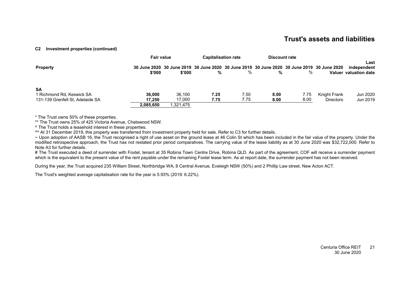#### **[C2](#page-13-3) Investment properties (continued)**

|                                                                            | <b>Fair value</b> |                                                                                                      | <b>Capitalisation rate</b> |              | Discount rate |              |                                  |                                              |
|----------------------------------------------------------------------------|-------------------|------------------------------------------------------------------------------------------------------|----------------------------|--------------|---------------|--------------|----------------------------------|----------------------------------------------|
| <b>Property</b>                                                            | \$'000            | 30 June 2020 30 June 2019 30 June 2020 30 June 2019 30 June 2020 30 June 2019 30 June 2020<br>\$'000 | %                          | %            | %             | %            |                                  | Last<br>independent<br>Valuer valuation date |
| <b>SA</b><br>1 Richmond Rd, Keswick SA<br>131-139 Grenfell St. Adelaide SA | 36.000<br>17.250  | 36.100<br>17.000                                                                                     | 7.25<br>7.75               | 7.50<br>7.75 | 8.00<br>8.00  | 7.75<br>8.00 | Knight Frank<br><b>Directors</b> | Jun 2020<br>Jun 2019                         |
|                                                                            | 2.085.650         | 1.321.475                                                                                            |                            |              |               |              |                                  |                                              |

\* The Trust owns 50% of these properties.

\*\* The Trust owns 25% of 425 Victoria Avenue, Chatswood NSW.

^ The Trust holds a leasehold interest in these properties.

^^ At 31 December 2019, this property was transferred from investment property held for sale. Refer to [C3](#page-24-1) for further details.

~ Upon adoption of AASB 16, the Trust recognised a right of use asset on the ground lease at 46 Colin St which has been included in the fair value of the property. Under the modified retrospective approach, the Trust has not restated prior period comparatives. The carrying value of the lease liability as at 30 June 2020 was \$32,722,000. Refer to Note [A3](#page-15-1) for further details.

# The Trust executed a deed of surrender with Foxtel, tenant at 35 Robina Town Centre Drive, Robina QLD. As part of the agreement, COF will receive a surrender payment which is the equivalent to the present value of the rent payable under the remaining Foxtel lease term. As at report date, the surrender payment has not been received.

During the year, the Trust acquired 235 William Street, Northbridge WA, 8 Central Avenue, Eveleigh NSW (50%) and 2 Phillip Law street, New Acton ACT.

The Trust's weighted average capitalisation rate for the year is 5.93% (2019: 6.22%).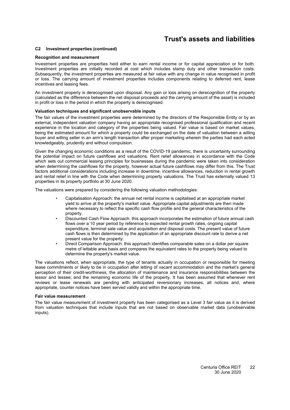#### **[C2](#page-13-0) Investment properties (continued)**

#### **Recognition and measurement**

Investment properties are properties held either to earn rental income or for capital appreciation or for both. Investment properties are initially recorded at cost which includes stamp duty and other transaction costs. Subsequently, the investment properties are measured at fair value with any change in value recognised in profit or loss. The carrying amount of investment properties includes components relating to deferred rent, lease incentives and leasing fees.

An investment property is derecognised upon disposal. Any gain or loss arising on derecognition of the property (calculated as the difference between the net disposal proceeds and the carrying amount of the asset) is included in profit or loss in the period in which the property is derecognised.

#### **Valuation techniques and significant unobservable inputs**

The fair values of the investment properties were determined by the directors of the Responsible Entity or by an external, independent valuation company having an appropriate recognised professional qualification and recent experience in the location and category of the properties being valued. Fair value is based on market values, being the estimated amount for which a property could be exchanged on the date of valuation between a willing buyer and willing seller in an arm's length transaction after proper marketing wherein the parties had each acted knowledgeably, prudently and without compulsion.

Given the changing economic conditions as a result of the COVID-19 pandemic, there is uncertainty surrounding the potential impact on future cashflows and valuations. Rent relief allowances in accordance with the Code which sets out commercial leasing principles for businesses during the pandemic were taken into consideration when determining the cashflows for the property, however actual future cashflows may differ from this. The Trust factors additional considerations including increase in downtime, incentive allowances, reduction in rental growth and rental relief in line with the Code when determining property valuations. The Trust has externally valued 13 properties in its property portfolio at 30 June 2020.

The valuations were prepared by considering the following valuation methodologies:

- Capitalisation Approach: the annual net rental income is capitalised at an appropriate market yield to arrive at the property's market value. Appropriate capital adjustments are then made where necessary to reflect the specific cash flow profile and the general characteristics of the property.
- Discounted Cash Flow Approach: this approach incorporates the estimation of future annual cash flows over a 10 year period by reference to expected rental growth rates, ongoing capital expenditure, terminal sale value and acquisition and disposal costs. The present value of future cash flows is then determined by the application of an appropriate discount rate to derive a net present value for the property.
- Direct Comparison Approach: this approach identifies comparable sales on a dollar per square metre of lettable area basis and compares the equivalent rates to the property being valued to determine the property's market value.

The valuations reflect, when appropriate, the type of tenants actually in occupation or responsible for meeting lease commitments or likely to be in occupation after letting of vacant accommodation and the market's general perception of their credit-worthiness; the allocation of maintenance and insurance responsibilities between the lessor and lessee; and the remaining economic life of the property. It has been assumed that whenever rent reviews or lease renewals are pending with anticipated reversionary increases, all notices and, where appropriate, counter notices have been served validly and within the appropriate time.

#### **Fair value measurement**

The fair value measurement of investment property has been categorised as a Level 3 fair value as it is derived from valuation techniques that include inputs that are not based on observable market data (unobservable inputs).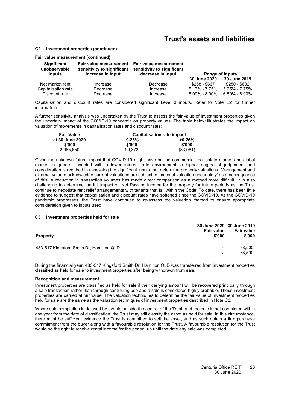#### **[C2](#page-13-0) Investment properties (continued)**

#### **Fair value measurement (continued)**

| Significant<br>unobservable | sensitivity to significant | Fair value measurement  Fair value measurement<br>sensitivity to significant |                   |                     |
|-----------------------------|----------------------------|------------------------------------------------------------------------------|-------------------|---------------------|
| inputs                      | increase in input          | decrease in input                                                            |                   | Range of inputs     |
|                             |                            |                                                                              | 30 June 2020      | 30 June 2019        |
| Net market rent             | Increase                   | Decrease                                                                     | \$258 - \$667     | \$250 - \$632       |
| Capitalisation rate         | Decrease                   | Increase                                                                     | $5.13\% - 7.75\%$ | $5.25\% - 7.75\%$   |
| Discount rate               | Decrease                   | Increase                                                                     | $6.00\% - 8.00\%$ | $6.50\%$ - $8.00\%$ |

<span id="page-24-1"></span>Capitalisation and discount rates are considered significant Level 3 inputs. Refer to Note [E2](#page-34-2) for further information.

A further sensitivity analysis was undertaken by the Trust to assess the fair value of investment properties given the uncertain impact of the COVID-19 pandemic on property values. The table below illustrates the impact on valuation of movements in capitalisation rates and discount rates:

| <b>Fair Value</b> | Capitalisation rate impact |          |  |  |
|-------------------|----------------------------|----------|--|--|
| at 30 June 2020   | $-0.25%$                   | $+0.25%$ |  |  |
| \$'000            | \$'000                     | \$'000   |  |  |
| 2.085.650         | 90.373                     | (83,061) |  |  |

Given the unknown future impact that COVID-19 might have on the commercial real estate market and global market in general, coupled with a lower interest rate environment, a higher degree of judgement and consideration is required in assessing the significant inputs that determine property valuations. Management and external valuers acknowledge current valuations are subject to 'material valuation uncertainty' as a consequence of this. A reduction in transaction volumes has made direct comparison as a method more difficult. It is also challenging to determine the full impact on Net Passing Income for the property for future periods as the Trust continue to negotiate rent relief arrangements with tenants that fall within the Code. To date, there has been little evidence to suggest that capitalisation and discount rates have softened since the COVID-19. As the COVID-19 pandemic progresses, the Trust have continued to re-assess the valuation method to ensure appropriate consideration given to inputs used.

#### <span id="page-24-0"></span>**[C3](#page-24-0) Investment properties held for sale**

| <b>Property</b>                          | <b>Fair value</b><br>\$'000 | 30 June 2020 30 June 2019<br><b>Fair value</b><br>\$'000 |
|------------------------------------------|-----------------------------|----------------------------------------------------------|
| 483-517 Kingsford Smith Dr. Hamilton QLD | ٠                           | 78.500                                                   |
|                                          | $\overline{\phantom{0}}$    | 78.500                                                   |

During the financial year, 483-517 Kingsford Smith Dr, Hamilton QLD was transferred from investment properties classified as held for sale to investment properties after being withdrawn from sale.

#### **Recognition and measurement**

Investment properties are classified as held for sale if their carrying amount will be recovered principally through a sale transaction rather than through continuing use and a sale is considered highly probable. These investment properties are carried at fair value. The valuation techniques to determine the fair value of investment properties held for sale are the same as the valuation techniques of investment properties described in Note [C2.](#page-13-0)

Where sale completion is delayed by events outside the control of the Trust, and the sale is not completed within one year from the date of classification, the Trust may still classify the asset as held for sale. In this circumstance, there must be sufficient evidence the Trust is committed to sell the asset, and as such obtain a firm purchase commitment from the buyer along with a favourable resolution for the Trust. A favourable resolution for the Trust would be the right to receive rental income for the period, up until the date any sale was completed.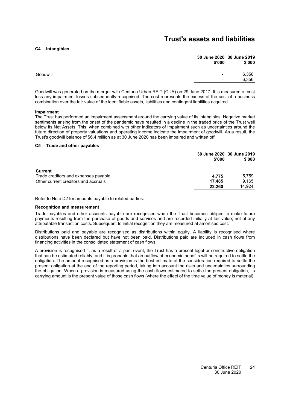### <span id="page-25-0"></span>**[C4](#page-25-0) Intangibles**

|          | 30 June 2020 30 June 2019<br>\$'000 | \$'000 |
|----------|-------------------------------------|--------|
| Goodwill | $\blacksquare$                      | 6,356  |
|          | $\blacksquare$                      | 6,356  |
|          |                                     |        |

Goodwill was generated on the merger with Centuria Urban REIT (CUA) on 29 June 2017. It is measured at cost less any impairment losses subsequently recognised. The cost represents the excess of the cost of a business combination over the fair value of the identifiable assets, liabilities and contingent liabilities acquired.

#### **Impairment**

The Trust has performed an impairment assessment around the carrying value of its intangibles. Negative market sentiments arising from the onset of the pandemic have resulted in a decline in the traded price of the Trust well below its Net Assets. This, when combined with other indicators of impairment such as uncertainties around the future direction of property valuations and operating income indicate the impairment of goodwill. As a result, the Trust's goodwill balance of \$6.4 million as at 30 June 2020 has been impaired and written off.

#### <span id="page-25-1"></span>**[C5](#page-25-1) Trade and other payables**

|                                      | 30 June 2020 30 June 2019<br>\$'000 | \$'000 |
|--------------------------------------|-------------------------------------|--------|
| <b>Current</b>                       |                                     |        |
| Trade creditors and expenses payable | 4.775                               | 5.759  |
| Other current creditors and accruals | 17.485                              | 9,165  |
|                                      | 22.260                              | 14.924 |

Refer to Note [D2](#page-30-0) for amounts payable to related parties.

#### **Recognition and measurement**

Trade payables and other accounts payable are recognised when the Trust becomes obliged to make future payments resulting from the purchase of goods and services and are recorded initially at fair value, net of any attributable transaction costs. Subsequent to initial recognition they are measured at amortised cost.

Distributions paid and payable are recognised as distributions within equity. A liability is recognised where distributions have been declared but have not been paid. Distributions paid are included in cash flows from financing activities in the consolidated statement of cash flows.

A provision is recognised if, as a result of a past event, the Trust has a present legal or constructive obligation that can be estimated reliably, and it is probable that an outflow of economic benefits will be required to settle the obligation. The amount recognised as a provision is the best estimate of the consideration required to settle the present obligation at the end of the reporting period, taking into account the risks and uncertainties surrounding the obligation. When a provision is measured using the cash flows estimated to settle the present obligation, its carrying amount is the present value of those cash flows (where the effect of the time value of money is material).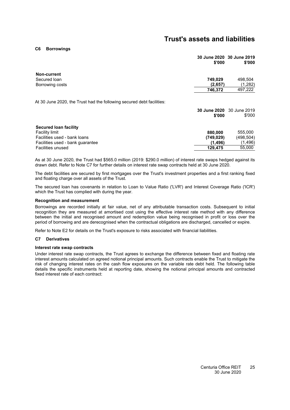<span id="page-26-0"></span>**[C6](#page-26-0) Borrowings**

|                                                                       | \$'000  | 30 June 2020 30 June 2019<br>\$'000 |
|-----------------------------------------------------------------------|---------|-------------------------------------|
| Non-current                                                           |         |                                     |
| Secured Ioan                                                          | 749.029 | 498.504                             |
| Borrowing costs                                                       | (2,657) | (1,282)                             |
|                                                                       | 746.372 | 497.222                             |
| At 30 June 2020, the Trust had the following secured debt facilities: |         |                                     |

**30 June 2020** 30 June 2019 **\$'000** \$'000 **Secured loan facility** Facility limit **880,000** 555,000 Facilities used - bank loans **(749,029)** (498,504) Facilities used - bank guarantee **(1,496)** (1,496) **Facilities unused 129.475** 

As at 30 June 2020, the Trust had \$565.0 million (2019: \$290.0 million) of interest rate swaps hedged against its drawn debt. Refer to Note [C7](#page-26-1) for further details on interest rate swap contracts held at 30 June 2020.

The debt facilities are secured by first mortgages over the Trust's investment properties and a first ranking fixed and floating charge over all assets of the Trust.

The secured loan has covenants in relation to Loan to Value Ratio ('LVR') and Interest Coverage Ratio ('ICR') which the Trust has complied with during the year.

#### **Recognition and measurement**

Borrowings are recorded initially at fair value, net of any attributable transaction costs. Subsequent to initial recognition they are measured at amortised cost using the effective interest rate method with any difference between the initial and recognised amount and redemption value being recognised in profit or loss over the period of borrowing and are derecognised when the contractual obligations are discharged, cancelled or expire.

<span id="page-26-1"></span>Refer to Note [E2](#page-34-2) for details on the Trust's exposure to risks associated with financial liabilities.

#### **[C7](#page-26-1) Derivatives**

#### **Interest rate swap contracts**

Under interest rate swap contracts, the Trust agrees to exchange the difference between fixed and floating rate interest amounts calculated on agreed notional principal amounts. Such contracts enable the Trust to mitigate the risk of changing interest rates on the cash flow exposures on the variable rate debt held. The following table details the specific instruments held at reporting date, showing the notional principal amounts and contracted fixed interest rate of each contract: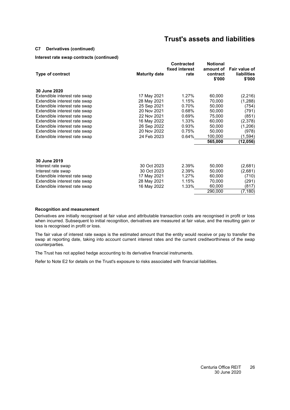#### **[C7](#page-26-1) Derivatives (continued)**

### **Interest rate swap contracts (continued)**

| <b>Type of contract</b>       | <b>Maturity date</b> | <b>Contracted</b><br>fixed interest<br>rate | <b>Notional</b><br>amount of<br>contract<br>\$'000 | Fair value of<br><b>liabilities</b><br>\$'000 |
|-------------------------------|----------------------|---------------------------------------------|----------------------------------------------------|-----------------------------------------------|
| 30 June 2020                  |                      |                                             |                                                    |                                               |
| Extendible interest rate swap | 17 May 2021          | 1.27%                                       | 60,000                                             | (2, 216)                                      |
| Extendible interest rate swap | 28 May 2021          | 1.15%                                       | 70,000                                             | (1,288)                                       |
| Extendible interest rate swap | 25 Sep 2021          | 0.70%                                       | 50,000                                             | (754)                                         |
| Extendible interest rate swap | 20 Nov 2021          | 0.68%                                       | 50,000                                             | (791)                                         |
| Extendible interest rate swap | 22 Nov 2021          | 0.69%                                       | 75,000                                             | (851)                                         |
| Extendible interest rate swap | 16 May 2022          | 1.33%                                       | 60,000                                             | (2,378)                                       |
| Extendible interest rate swap | 26 Sep 2022          | 0.93%                                       | 50,000                                             | (1,206)                                       |
| Extendible interest rate swap | 20 Nov 2022          | 0.75%                                       | 50,000                                             | (978)                                         |
| Extendible interest rate swap | 24 Feb 2023          | 0.64%                                       | 100,000                                            | (1,594)                                       |
|                               |                      |                                             | 565,000                                            | (12,056)                                      |
| 30 June 2019                  |                      |                                             |                                                    |                                               |
| Interest rate swap            | 30 Oct 2023          | 2.39%                                       | 50,000                                             | (2,681)                                       |
| Interest rate swap            | 30 Oct 2023          | 2.39%                                       | 50,000                                             | (2,681)                                       |
| Extendible interest rate swap | 17 May 2021          | 1.27%                                       | 60,000                                             | (710)                                         |
| Extendible interest rate swap | 28 May 2021          | 1.15%                                       | 70,000                                             | (291)                                         |
| Extendible interest rate swap | 16 May 2022          | 1.33%                                       | 60,000                                             | (817)                                         |
|                               |                      |                                             | 290,000                                            | (7, 180)                                      |

#### **Recognition and measurement**

Derivatives are initially recognised at fair value and attributable transaction costs are recognised in profit or loss when incurred. Subsequent to initial recognition, derivatives are measured at fair value, and the resulting gain or loss is recognised in profit or loss.

The fair value of interest rate swaps is the estimated amount that the entity would receive or pay to transfer the swap at reporting date, taking into account current interest rates and the current creditworthiness of the swap counterparties.

The Trust has not applied hedge accounting to its derivative financial instruments.

Refer to Note [E2](#page-34-2) for details on the Trust's exposure to risks associated with financial liabilities.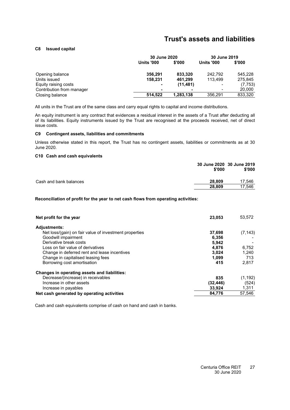### <span id="page-28-0"></span>**[C8](#page-28-0) Issued capital**

|                           | 30 June 2020      |           | 30 June 2019             |          |
|---------------------------|-------------------|-----------|--------------------------|----------|
|                           | <b>Units '000</b> | \$'000    | <b>Units '000</b>        | \$'000   |
| Opening balance           | 356.291           | 833,320   | 242.792                  | 545,228  |
| Units issued              | 158,231           | 461,299   | 113.499                  | 275.845  |
| Equity raising costs      | ۰                 | (11, 481) | $\overline{\phantom{a}}$ | (7, 753) |
| Contribution from manager |                   |           | $\blacksquare$           | 20,000   |
| Closing balance           | 514.522           | 1,283,138 | 356.291                  | 833,320  |

All units in the Trust are of the same class and carry equal rights to capital and income distributions.

An equity instrument is any contract that evidences a residual interest in the assets of a Trust after deducting all of its liabilities. Equity instruments issued by the Trust are recognised at the proceeds received, net of direct issue costs.

#### <span id="page-28-1"></span>**[C9](#page-28-1) Contingent assets, liabilities and commitments**

<span id="page-28-2"></span>Unless otherwise stated in this report, the Trust has no contingent assets, liabilities or commitments as at 30 June 2020.

#### **[C10](#page-28-2) Cash and cash equivalents**

|                        | 30 June 2020 30 June 2019<br>\$'000 | \$'000 |
|------------------------|-------------------------------------|--------|
| Cash and bank balances | 28.809                              | 17.546 |
|                        | 28.809                              | 17.546 |

**Reconciliation of profit for the year to net cash flows from operating activities:**

| Net profit for the year                                | 23,053    | 53,572   |
|--------------------------------------------------------|-----------|----------|
| <b>Adjustments:</b>                                    |           |          |
| Net loss/(gain) on fair value of investment properties | 37,698    | (7, 143) |
| Goodwill impairment                                    | 6,356     |          |
| Derivative break costs                                 | 5.942     |          |
| Loss on fair value of derivatives                      | 4.876     | 6,752    |
| Change in deferred rent and lease incentives           | 3.024     | 1.240    |
| Change in capitalised leasing fees                     | 1.099     | 713      |
| Borrowing cost amortisation                            | 415       | 2.817    |
| Changes in operating assets and liabilities:           |           |          |
| Decrease/(increase) in receivables                     | 835       | (1, 192) |
| Increase in other assets                               | (32, 446) | (524)    |
| Increase in payables                                   | 33,924    | 1,311    |
| Net cash generated by operating activities             | 84.776    | 57,546   |

Cash and cash equivalents comprise of cash on hand and cash in banks.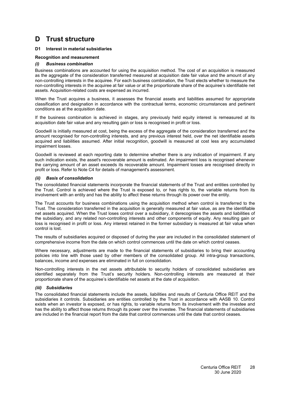### <span id="page-29-1"></span><span id="page-29-0"></span>**[D1](#page-29-1) Interest in material subsidiaries**

### **Recognition and measurement**

#### *(i) Business combination*

Business combinations are accounted for using the acquisition method. The cost of an acquisition is measured as the aggregate of the consideration transferred measured at acquisition date fair value and the amount of any non-controlling interests in the acquiree. For each business combination, the Trust elects whether to measure the non-controlling interests in the acquiree at fair value or at the proportionate share of the acquiree's identifiable net assets. Acquisition-related costs are expensed as incurred.

When the Trust acquires a business, it assesses the financial assets and liabilities assumed for appropriate classification and designation in accordance with the contractual terms, economic circumstances and pertinent conditions as at the acquisition date.

If the business combination is achieved in stages, any previously held equity interest is remeasured at its acquisition date fair value and any resulting gain or loss is recognised in profit or loss.

Goodwill is initially measured at cost, being the excess of the aggregate of the consideration transferred and the amount recognised for non-controlling interests, and any previous interest held, over the net identifiable assets acquired and liabilities assumed. After initial recognition, goodwill is measured at cost less any accumulated impairment losses.

Goodwill is reviewed at each reporting date to determine whether there is any indication of impairment. If any such indication exists, the asset's recoverable amount is estimated. An impairment loss is recognised whenever the carrying amount of an asset exceeds its recoverable amount. Impairment losses are recognised directly in profit or loss. Refer to Note [C4](#page-25-0) for details of management's assessment.

#### *(ii) Basis of consolidation*

The consolidated financial statements incorporate the financial statements of the Trust and entities controlled by the Trust. Control is achieved where the Trust is exposed to, or has rights to, the variable returns from its involvement with an entity and has the ability to affect these returns through its power over the entity.

The Trust accounts for business combinations using the acquisition method when control is transferred to the Trust. The consideration transferred in the acquisition is generally measured at fair value, as are the identifiable net assets acquired. When the Trust loses control over a subsidiary, it derecognises the assets and liabilities of the subsidiary, and any related non-controlling interests and other components of equity. Any resulting gain or loss is recognised in profit or loss. Any interest retained in the former subsidiary is measured at fair value when control is lost.

The results of subsidiaries acquired or disposed of during the year are included in the consolidated statement of comprehensive income from the date on which control commences until the date on which control ceases.

Where necessary, adjustments are made to the financial statements of subsidiaries to bring their accounting policies into line with those used by other members of the consolidated group. All intra-group transactions, balances, income and expenses are eliminated in full on consolidation.

Non-controlling interests in the net assets attributable to security holders of consolidated subsidiaries are identified separately from the Trust's security holders. Non-controlling interests are measured at their proportionate share of the acquiree's identifiable net assets at the date of acquisition.

#### *(iii) Subsidiaries*

The consolidated financial statements include the assets, liabilities and results of Centuria Office REIT and the subsidiaries it controls. Subsidiaries are entities controlled by the Trust in accordance with AASB 10. Control exists when an investor is exposed, or has rights, to variable returns from its involvement with the investee and has the ability to affect those returns through its power over the investee. The financial statements of subsidiaries are included in the financial report from the date that control commences until the date that control ceases.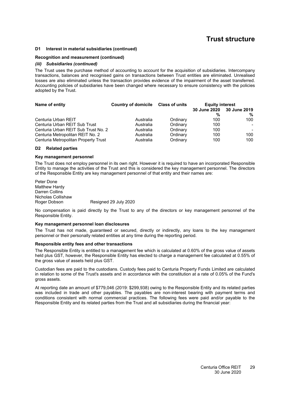#### **[D1](#page-29-1) Interest in material subsidiaries (continued)**

#### **Recognition and measurement (continued)**

#### *(iii) Subsidiaries (continued)*

The Trust uses the purchase method of accounting to account for the acquisition of subsidiaries. Intercompany transactions, balances and recognised gains on transactions between Trust entities are eliminated. Unrealised losses are also eliminated unless the transaction provides evidence of the impairment of the asset transferred. Accounting policies of subsidiaries have been changed where necessary to ensure consistency with the policies adopted by the Trust.

| Name of entity                       | Country of domicile Class of units |          | <b>Equity interest</b> |                           |
|--------------------------------------|------------------------------------|----------|------------------------|---------------------------|
|                                      |                                    |          |                        | 30 June 2020 30 June 2019 |
|                                      |                                    |          | %                      | %                         |
| Centuria Urban REIT                  | Australia                          | Ordinary | 100                    | 100                       |
| Centuria Urban REIT Sub Trust        | Australia                          | Ordinary | 100                    | $\blacksquare$            |
| Centuria Urban REIT Sub Trust No. 2  | Australia                          | Ordinary | 100                    | $\overline{\phantom{0}}$  |
| Centuria Metropolitan REIT No. 2     | Australia                          | Ordinary | 100                    | 100                       |
| Centuria Metropolitan Property Trust | Australia                          | Ordinary | 100                    | 100                       |

#### <span id="page-30-0"></span>**[D2](#page-30-0) Related parties**

#### **Key management personnel**

The Trust does not employ personnel in its own right. However it is required to have an incorporated Responsible Entity to manage the activities of the Trust and this is considered the key management personnel. The directors of the Responsible Entity are key management personnel of that entity and their names are:

Peter Done Matthew Hardy Darren Collins Nicholas Collishaw Roger Dobson Resigned 29 July 2020

No compensation is paid directly by the Trust to any of the directors or key management personnel of the Responsible Entity.

#### **Key management personnel loan disclosures**

The Trust has not made, guaranteed or secured, directly or indirectly, any loans to the key management personnel or their personally related entities at any time during the reporting period.

#### **Responsible entity fees and other transactions**

The Responsible Entity is entitled to a management fee which is calculated at 0.60% of the gross value of assets held plus GST, however, the Responsible Entity has elected to charge a management fee calculated at 0.55% of the gross value of assets held plus GST.

Custodian fees are paid to the custodians. Custody fees paid to Centuria Property Funds Limited are calculated in relation to some of the Trust's assets and in accordance with the constitution at a rate of 0.05% of the Fund's gross assets.

At reporting date an amount of \$779,046 (2019: \$299,938) owing to the Responsible Entity and its related parties was included in trade and other payables. The payables are non-interest bearing with payment terms and conditions consistent with normal commercial practices. The following fees were paid and/or payable to the Responsible Entity and its related parties from the Trust and all subsidiaries during the financial year: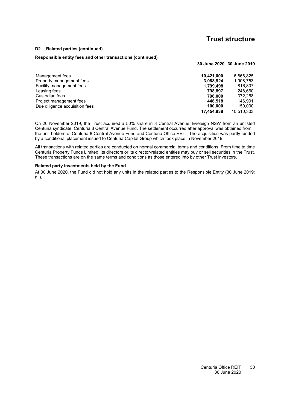**30 June 2020 30 June 2019**

#### **[D2](#page-30-0) Related parties (continued)**

#### **Responsible entity fees and other transactions (continued)**

| Management fees                | 10.421.000 | 6.866.825  |
|--------------------------------|------------|------------|
| Property management fees       | 3,088,924  | 1,908,753  |
| Facility management fees       | 1,799,498  | 816.807    |
| Leasing fees                   | 798.897    | 248.660    |
| Custodian fees                 | 798.000    | 372,268    |
| Project management fees        | 448.518    | 146.991    |
| Due diligence acquisition fees | 100.000    | 150,000    |
|                                | 17.454.838 | 10.510.303 |

On 20 November 2019, the Trust acquired a 50% share in 8 Central Avenue, Eveleigh NSW from an unlisted Centuria syndicate, Centuria 8 Central Avenue Fund. The settlement occurred after approval was obtained from the unit holders of Centuria 8 Central Avenue Fund and Centuria Office REIT. The acquisition was partly funded by a conditional placement issued to Centuria Capital Group which took place in November 2019.

All transactions with related parties are conducted on normal commercial terms and conditions. From time to time Centuria Property Funds Limited, its directors or its director-related entities may buy or sell securities in the Trust. These transactions are on the same terms and conditions as those entered into by other Trust investors.

#### **Related party investments held by the Fund**

At 30 June 2020, the Fund did not hold any units in the related parties to the Responsible Entity (30 June 2019: nil).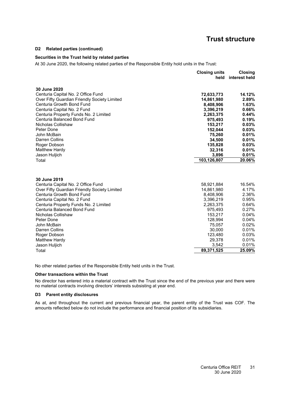#### **[D2](#page-30-0) Related parties (continued)**

### **Securities in the Trust held by related parties**

At 30 June 2020, the following related parties of the Responsible Entity hold units in the Trust:

|                                                                      | <b>Closing units</b><br>held | Closing<br>interest held |
|----------------------------------------------------------------------|------------------------------|--------------------------|
|                                                                      |                              |                          |
| 30 June 2020                                                         |                              |                          |
| Centuria Capital No. 2 Office Fund                                   | 72,633,773                   | 14.12%                   |
| Over Fifty Guardian Friendly Society Limited                         | 14,861,980                   | 2.89%                    |
| Centuria Growth Bond Fund                                            | 8,408,906                    | 1.63%                    |
| Centuria Capital No. 2 Fund                                          | 3,396,219                    | 0.66%                    |
| Centuria Property Funds No. 2 Limited<br>Centuria Balanced Bond Fund | 2,263,375                    | 0.44%                    |
| Nicholas Collishaw                                                   | 975,493                      | 0.19%                    |
|                                                                      | 153,217                      | 0.03%                    |
| Peter Done<br>John McBain                                            | 152,044                      | 0.03%                    |
| Darren Collins                                                       | 75,260<br>34,500             | 0.01%<br>0.01%           |
|                                                                      | 135,828                      | 0.03%                    |
| Roger Dobson<br>Matthew Hardy                                        | 32,316                       | 0.01%                    |
| Jason Huljich                                                        | 3,896                        | 0.01%                    |
| Total                                                                | 103,126,807                  | 20.06%                   |
|                                                                      |                              |                          |
| 30 June 2019                                                         |                              |                          |
| Centuria Capital No. 2 Office Fund                                   | 58,921,884                   | 16.54%                   |
| Over Fifty Guardian Friendly Society Limited                         | 14,861,980                   | 4.17%                    |
| Centuria Growth Bond Fund                                            | 8,408,906                    | 2.36%                    |
| Centuria Capital No. 2 Fund                                          | 3,396,219                    | 0.95%                    |
| Centuria Property Funds No. 2 Limited                                | 2,263,375                    | 0.64%                    |
| Centuria Balanced Bond Fund                                          | 975,493                      | 0.27%                    |
| Nicholas Collishaw                                                   | 153,217                      | 0.04%                    |
| Peter Done                                                           | 128,994                      | 0.04%                    |
| John McBain                                                          | 75,057                       | 0.02%                    |
| Darren Collins                                                       | 30,000                       | 0.01%                    |
| Roger Dobson                                                         | 123,480                      | 0.03%                    |
| <b>Matthew Hardy</b>                                                 | 29,378                       | 0.01%                    |
| Jason Huljich                                                        | 3,542                        | 0.01%                    |
| Total                                                                | 89,371,525                   | 25.09%                   |

No other related parties of the Responsible Entity held units in the Trust.

#### **Other transactions within the Trust**

<span id="page-32-0"></span>No director has entered into a material contract with the Trust since the end of the previous year and there were no material contracts involving directors' interests subsisting at year end.

#### **[D3](#page-32-0) Parent entity disclosures**

As at, and throughout the current and previous financial year, the parent entity of the Trust was COF. The amounts reflected below do not include the performance and financial position of its subsidiaries.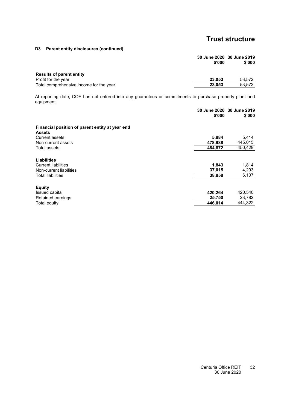**[D3](#page-32-0) Parent entity disclosures (continued)**

|                                         | 30 June 2020 30 June 2019<br>\$'000 | \$'000 |
|-----------------------------------------|-------------------------------------|--------|
| <b>Results of parent entity</b>         |                                     |        |
| Profit for the year                     | 23.053                              | 53.572 |
| Total comprehensive income for the year | 23,053                              | 53.572 |
|                                         |                                     |        |

At reporting date, COF has not entered into any guarantees or commitments to purchase property plant and equipment.

| \$'000  | 30 June 2020 30 June 2019<br>\$'000 |
|---------|-------------------------------------|
|         |                                     |
|         | 5,414                               |
|         | 445,015                             |
| 484,872 | 450,429                             |
|         |                                     |
| 1,843   | 1,814                               |
| 37,015  | 4,293                               |
| 38,858  | 6,107                               |
|         |                                     |
| 420,264 | 420,540                             |
| 25,750  | 23,782                              |
| 446.014 | 444,322                             |
|         | 5,884<br>478,988                    |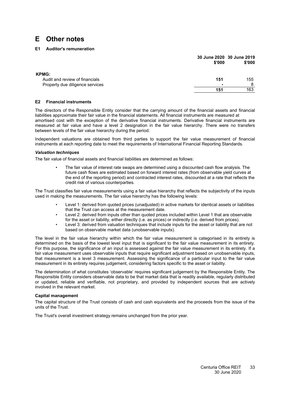# <span id="page-34-1"></span><span id="page-34-0"></span>**E Other notes**

### **[E1](#page-34-1) Auditor's remuneration**

|                                                | \$'000                   | 30 June 2020 30 June 2019<br>\$'000 |
|------------------------------------------------|--------------------------|-------------------------------------|
| <b>KPMG:</b><br>Audit and review of financials | 151                      | 155                                 |
| Property due diligence services                | $\overline{\phantom{0}}$ | 8                                   |
|                                                | 151                      | 163                                 |

#### <span id="page-34-2"></span>**[E2](#page-34-2) Financial instruments**

The directors of the Responsible Entity consider that the carrying amount of the financial assets and financial liabilities approximate their fair value in the financial statements. All financial instruments are measured at amortised cost with the exception of the derivative financial instruments. Derivative financial instruments are measured at fair value and have a level 2 designation in the fair value hierarchy. There were no transfers between levels of the fair value hierarchy during the period.

Independent valuations are obtained from third parties to support the fair value measurement of financial instruments at each reporting date to meet the requirements of International Financial Reporting Standards.

#### *Valuation techniques*

The fair value of financial assets and financial liabilities are determined as follows:

• The fair value of interest rate swaps are determined using a discounted cash flow analysis. The future cash flows are estimated based on forward interest rates (from observable yield curves at the end of the reporting period) and contracted interest rates, discounted at a rate that reflects the credit risk of various counterparties.

The Trust classifies fair value measurements using a fair value hierarchy that reflects the subjectivity of the inputs used in making the measurements. The fair value hierarchy has the following levels:

- Level 1: derived from quoted prices (unadjusted) in active markets for identical assets or liabilities that the Trust can access at the measurement date.
- Level 2: derived from inputs other than quoted prices included within Level 1 that are observable for the asset or liability, either directly (i.e. as prices) or indirectly (i.e. derived from prices).
- Level 3: derived from valuation techniques that include inputs for the asset or liability that are not based on observable market data (unobservable inputs).

The level in the fair value hierarchy within which the fair value measurement is categorised in its entirety is determined on the basis of the lowest level input that is significant to the fair value measurement in its entirety. For this purpose, the significance of an input is assessed against the fair value measurement in its entirety. If a fair value measurement uses observable inputs that require significant adjustment based on unobservable inputs, that measurement is a level 3 measurement. Assessing the significance of a particular input to the fair value measurement in its entirety requires judgement, considering factors specific to the asset or liability.

The determination of what constitutes 'observable' requires significant judgement by the Responsible Entity. The Responsible Entity considers observable data to be that market data that is readily available, regularly distributed or updated, reliable and verifiable, not proprietary, and provided by independent sources that are actively involved in the relevant market.

#### **Capital management**

The capital structure of the Trust consists of cash and cash equivalents and the proceeds from the issue of the units of the Trust.

The Trust's overall investment strategy remains unchanged from the prior year.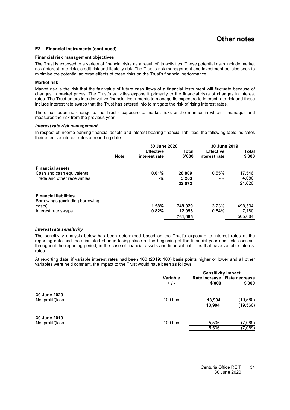# **Other notes**

#### **[E2](#page-34-2) Financial instruments (continued)**

#### **Financial risk management objectives**

The Trust is exposed to a variety of financial risks as a result of its activities. These potential risks include market risk (interest rate risk), credit risk and liquidity risk. The Trust's risk management and investment policies seek to minimise the potential adverse effects of these risks on the Trust's financial performance.

#### **Market risk**

Market risk is the risk that the fair value of future cash flows of a financial instrument will fluctuate because of changes in market prices. The Trust's activities expose it primarily to the financial risks of changes in interest rates. The Trust enters into derivative financial instruments to manage its exposure to interest rate risk and these include interest rate swaps that the Trust has entered into to mitigate the risk of rising interest rates.

There has been no change to the Trust's exposure to market risks or the manner in which it manages and measures the risk from the previous year.

#### *Interest rate risk management*

In respect of income-earning financial assets and interest-bearing financial liabilities, the following table indicates their effective interest rates at reporting date:

|                                 |             | 30 June 2020     |         | 30 June 2019     |         |
|---------------------------------|-------------|------------------|---------|------------------|---------|
|                                 |             | <b>Effective</b> | Total   | <b>Effective</b> | Total   |
|                                 | <b>Note</b> | interest rate    | \$'000  | interest rate    | \$'000  |
| <b>Financial assets</b>         |             |                  |         |                  |         |
| Cash and cash equivalents       |             | 0.01%            | 28.809  | 0.55%            | 17,546  |
| Trade and other receivables     |             | -%               | 3,263   | -%               | 4,080   |
|                                 |             |                  | 32,072  |                  | 21,626  |
| <b>Financial liabilities</b>    |             |                  |         |                  |         |
| Borrowings (excluding borrowing |             |                  |         |                  |         |
| costs)                          |             | 1.58%            | 749,029 | 3.23%            | 498.504 |
| Interest rate swaps             |             | 0.82%            | 12,056  | 0.54%            | 7,180   |
|                                 |             |                  | 761.085 |                  | 505.684 |

#### *Interest rate sensitivity*

The sensitivity analysis below has been determined based on the Trust's exposure to interest rates at the reporting date and the stipulated change taking place at the beginning of the financial year and held constant throughout the reporting period, in the case of financial assets and financial liabilities that have variable interest rates.

At reporting date, if variable interest rates had been 100 (2019: 100) basis points higher or lower and all other variables were held constant, the impact to the Trust would have been as follows:

|                                   |                          | <b>Sensitivity impact</b> |                                       |  |
|-----------------------------------|--------------------------|---------------------------|---------------------------------------|--|
|                                   | <b>Variable</b><br>$+1-$ | \$'000                    | Rate increase Rate decrease<br>\$'000 |  |
| 30 June 2020<br>Net profit/(loss) | $100$ bps                | 13,904                    | (19,560)                              |  |
|                                   |                          | 13,904                    | (19,560)                              |  |
| 30 June 2019                      |                          |                           |                                       |  |
| Net profit/(loss)                 | $100$ bps                | 5,536                     | (7,069)                               |  |
|                                   |                          | 5,536                     | (7,069)                               |  |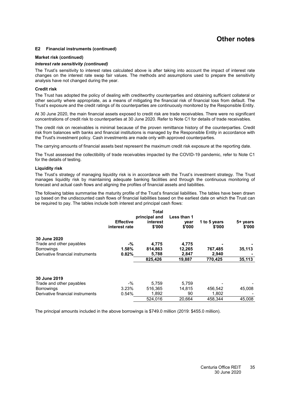## **Other notes**

#### **[E2](#page-34-2) Financial instruments (continued)**

#### **Market risk (continued)**

#### *Interest rate sensitivity (continued)*

The Trust's sensitivity to interest rates calculated above is after taking into account the impact of interest rate changes on the interest rate swap fair values. The methods and assumptions used to prepare the sensitivity analysis have not changed during the year.

#### **Credit risk**

The Trust has adopted the policy of dealing with creditworthy counterparties and obtaining sufficient collateral or other security where appropriate, as a means of mitigating the financial risk of financial loss from default. The Trust's exposure and the credit ratings of its counterparties are continuously monitored by the Responsible Entity.

At 30 June 2020, the main financial assets exposed to credit risk are trade receivables. There were no significant concentrations of credit risk to counterparties at 30 June 2020. Refer to Note [C1](#page-19-0) for details of trade receivables.

The credit risk on receivables is minimal because of the proven remittance history of the counterparties. Credit risk from balances with banks and financial institutions is managed by the Responsible Entity in accordance with the Trust's investment policy. Cash investments are made only with approved counterparties.

The carrying amounts of financial assets best represent the maximum credit risk exposure at the reporting date.

The Trust assessed the collectibility of trade receivables impacted by the COVID-19 pandemic, refer to Note [C1](#page-19-0) for the details of testing.

#### **Liquidity risk**

The Trust's strategy of managing liquidity risk is in accordance with the Trust's investment strategy. The Trust manages liquidity risk by maintaining adequate banking facilities and through the continuous monitoring of forecast and actual cash flows and aligning the profiles of financial assets and liabilities.

The following tables summarise the maturity profile of the Trust's financial liabilities. The tables have been drawn up based on the undiscounted cash flows of financial liabilities based on the earliest date on which the Trust can be required to pay. The tables include both interest and principal cash flows:

|                                  | <b>Effective</b><br>interest rate | Total<br>principal and<br>interest<br>\$'000 | Less than 1<br>year<br>\$'000 | 1 to 5 years<br>\$'000 | 5+ years<br>\$'000 |
|----------------------------------|-----------------------------------|----------------------------------------------|-------------------------------|------------------------|--------------------|
| 30 June 2020                     |                                   |                                              |                               |                        |                    |
| Trade and other payables         | -%                                | 4,775                                        | 4,775                         |                        |                    |
| <b>Borrowings</b>                | 1.58%                             | 814,863                                      | 12,265                        | 767,485                | 35,113             |
| Derivative financial instruments | 0.82%                             | 5,788                                        | 2,847                         | 2,940                  |                    |
|                                  |                                   | 825.426                                      | 19.887                        | 770.425                | 35,113             |
| 30 June 2019                     |                                   |                                              |                               |                        |                    |
| Trade and other payables         | -%                                | 5.759                                        | 5.759                         |                        |                    |
| <b>Borrowings</b>                | 3.23%                             | 516.365                                      | 14.815                        | 456,542                | 45,008             |
| Derivative financial instruments | 0.54%                             | 1,892                                        | 90                            | 1.802                  |                    |

The principal amounts included in the above borrowings is \$749.0 million (2019: \$455.0 million).

3.77% 524,016 20,664 458,344 45,008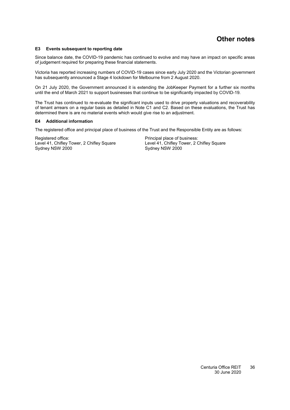#### <span id="page-37-0"></span>**[E3](#page-37-0) Events subsequent to reporting date**

Since balance date, the COVID-19 pandemic has continued to evolve and may have an impact on specific areas of judgement required for preparing these financial statements.

Victoria has reported increasing numbers of COVID-19 cases since early July 2020 and the Victorian government has subsequently announced a Stage 4 lockdown for Melbourne from 2 August 2020.

On 21 July 2020, the Government announced it is extending the JobKeeper Payment for a further six months until the end of March 2021 to support businesses that continue to be significantly impacted by COVID-19.

The Trust has continued to re-evaluate the significant inputs used to drive property valuations and recoverability of tenant arrears on a regular basis as detailed in Note [C1](#page-19-0) and [C2.](#page-13-0) Based on these evaluations, the Trust has determined there is are no material events which would give rise to an adjustment.

#### <span id="page-37-1"></span>**[E4](#page-37-1) Additional information**

The registered office and principal place of business of the Trust and the Responsible Entity are as follows:

Registered office: Principal place of business: Level 41, Chifley Tower, 2 Chifley Square<br>
Sydney NSW 2000<br>
Sydney NSW 2000

Sydney NSW 2000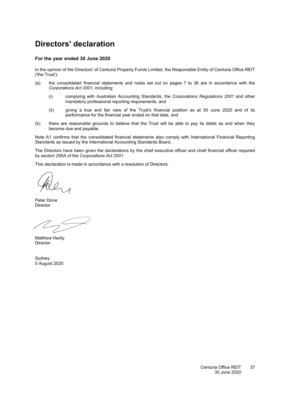# <span id="page-38-0"></span>**Directors' declaration**

### **For the year ended 30 June 2020**

In the opinion of the Directors' of Centuria Property Funds Limited, the Responsible Entity of Centuria Office REIT ('the Trust'):

- (a) the consolidated financial statements and notes set out on pages [7](#page-8-0) to [36](#page-13-0) are in accordance with the *Corporations Act 2001*, including:
	- (i) complying with Australian Accounting Standards, the *Corporations Regulations 2001* and other mandatory professional reporting requirements, and
	- (ii) giving a true and fair view of the Trust's financial position as at 30 June 2020 and of its performance for the financial year ended on that date, and
- (b) there are reasonable grounds to believe that the Trust will be able to pay its debts as and when they become due and payable.

Note [A1](#page-13-2) confirms that the consolidated financial statements also comply with International Financial Reporting Standards as issued by the International Accounting Standards Board.

The Directors have been given the declarations by the chief executive officer and chief financial officer required by section 295A of the *Corporations Act 2001*.

This declaration is made in accordance with a resolution of Directors.

0

Peter Done Director

Matthew Hardy **Director** 

Sydney 5 August 2020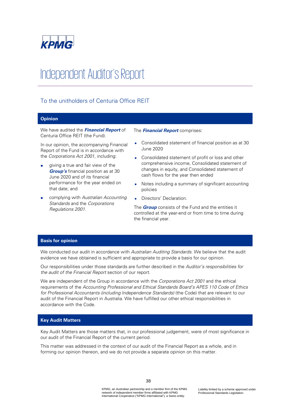

# Independent Auditor's Report

### To the unitholders of Centuria Office REIT

### **Opinion**

We have audited the **Financial Report** of Centuria Office REIT (the Fund).

In our opinion, the accompanying Financial Report of the Fund is in accordance with the Corporations Act 2001, including:

- giving a true and fair view of the **Group's** financial position as at 30 June 2020 and of its financial performance for the year ended on that date; and
- complying with Australian Accounting Standards and the Corporations Regulations 2001.

### The **Financial Report** comprises:

- Consolidated statement of financial position as at 30 June 2020
- Consolidated statement of profit or loss and other comprehensive income, Consolidated statement of changes in equity, and Consolidated statement of cash flows for the year then ended
- Notes including a summary of significant accounting policies
- Directors' Declaration.

The **Group** consists of the Fund and the entities it controlled at the year-end or from time to time during the financial year.

### **Basis for opinion**

We conducted our audit in accordance with Australian Auditing Standards. We believe that the audit evidence we have obtained is sufficient and appropriate to provide a basis for our opinion.

Our responsibilities under those standards are further described in the Auditor's responsibilities for the audit of the Financial Report section of our report.

We are independent of the Group in accordance with the Corporations Act 2001 and the ethical requirements of the Accounting Professional and Ethical Standards Board's APES 110 Code of Ethics for Professional Accountants (including Independence Standards) (the Code) that are relevant to our audit of the Financial Report in Australia. We have fulfilled our other ethical responsibilities in accordance with the Code.

### **Key Audit Matters**

Key Audit Matters are those matters that, in our professional judgement, were of most significance in our audit of the Financial Report of the current period.

This matter was addressed in the context of our audit of the Financial Report as a whole, and in forming our opinion thereon, and we do not provide a separate opinion on this matter.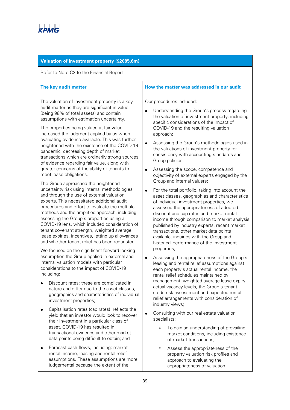

| Valuation of investment property (\$2085.6m)                                                                                                                                                                                                                                                                                                                                                                                                                                                                                                                                                                |                                                                                                                                                                                                                                                                                                                                                                                                                                                                                                                         |
|-------------------------------------------------------------------------------------------------------------------------------------------------------------------------------------------------------------------------------------------------------------------------------------------------------------------------------------------------------------------------------------------------------------------------------------------------------------------------------------------------------------------------------------------------------------------------------------------------------------|-------------------------------------------------------------------------------------------------------------------------------------------------------------------------------------------------------------------------------------------------------------------------------------------------------------------------------------------------------------------------------------------------------------------------------------------------------------------------------------------------------------------------|
| Refer to Note C2 to the Financial Report                                                                                                                                                                                                                                                                                                                                                                                                                                                                                                                                                                    |                                                                                                                                                                                                                                                                                                                                                                                                                                                                                                                         |
| The key audit matter                                                                                                                                                                                                                                                                                                                                                                                                                                                                                                                                                                                        | How the matter was addressed in our audit                                                                                                                                                                                                                                                                                                                                                                                                                                                                               |
| The valuation of investment property is a key<br>audit matter as they are significant in value<br>(being 98% of total assets) and contain<br>assumptions with estimation uncertainty.<br>The properties being valued at fair value<br>increased the judgment applied by us when<br>evaluating evidence available. This was further<br>heightened with the existence of the COVID-19<br>pandemic, decreasing depth of market<br>transactions which are ordinarily strong sources<br>of evidence regarding fair value, along with<br>greater concerns of the ability of tenants to<br>meet lease obligations. | Our procedures included:<br>Understanding the Group's process regarding<br>$\bullet$<br>the valuation of investment property, including<br>specific considerations of the impact of<br>COVID-19 and the resulting valuation<br>approach;<br>Assessing the Group's methodologies used in<br>$\bullet$<br>the valuations of investment property for<br>consistency with accounting standards and<br>Group policies;<br>Assessing the scope, competence and<br>$\bullet$<br>objectivity of external experts engaged by the |
| The Group approached the heightened<br>uncertainty risk using internal methodologies<br>and through the use of external valuation<br>experts. This necessitated additional audit<br>procedures and effort to evaluate the multiple<br>methods and the amplified approach, including<br>assessing the Group's properties using a<br>COVID-19 lens, which included consideration of<br>tenant covenant strength, weighted average<br>lease expiries, incentives, letting up allowances<br>and whether tenant relief has been requested.                                                                       | Group and internal valuers;<br>For the total portfolio, taking into account the<br>$\bullet$<br>asset classes, geographies and characteristics<br>of individual investment properties, we<br>assessed the appropriateness of adopted<br>discount and cap rates and market rental<br>income through comparison to market analysis<br>published by industry experts, recent market<br>transactions, other market data points<br>available, inquiries with the Group and<br>historical performance of the investment       |
| We focused on the significant forward looking<br>assumption the Group applied in external and<br>internal valuation models with particular<br>considerations to the impact of COVID-19<br>including:<br>Discount rates: these are complicated in<br>nature and differ due to the asset classes,<br>geographies and characteristics of individual<br>investment properties;                                                                                                                                                                                                                                  | properties;<br>Assessing the appropriateness of the Group's<br>$\bullet$<br>leasing and rental relief assumptions against<br>each property's actual rental income, the<br>rental relief schedules maintained by<br>management, weighted average lease expiry,<br>actual vacancy levels, the Group's tenant<br>credit risk assessment and expected rental<br>relief arrangements with consideration of                                                                                                                   |
| Capitalisation rates (cap rates): reflects the<br>yield that an investor would look to recover<br>their investment in a particular class of<br>asset. COVID-19 has resulted in<br>transactional evidence and other market<br>data points being difficult to obtain; and                                                                                                                                                                                                                                                                                                                                     | industry views;<br>Consulting with our real estate valuation<br>$\bullet$<br>specialists:<br>To gain an understanding of prevailing<br>$\circ$<br>market conditions, including existence<br>of market transactions,                                                                                                                                                                                                                                                                                                     |
| Forecast cash flows, including: market<br>٠<br>rental income, leasing and rental relief<br>assumptions. These assumptions are more<br>judgemental because the extent of the                                                                                                                                                                                                                                                                                                                                                                                                                                 | Assess the appropriateness of the<br>$\circ$<br>property valuation risk profiles and<br>approach to evaluating the<br>appropriateness of valuation                                                                                                                                                                                                                                                                                                                                                                      |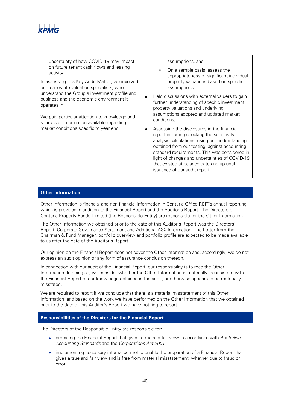

uncertainty of how COVID-19 may impact on future tenant cash flows and leasing activity.

In assessing this Key Audit Matter, we involved our real-estate valuation specialists, who understand the Group's investment profile and business and the economic environment it operates in.

We paid particular attention to knowledge and sources of information available regarding market conditions specific to year end.

assumptions, and

- o On a sample basis, assess the appropriateness of significant individual property valuations based on specific assumptions.
- Held discussions with external valuers to gain further understanding of specific investment property valuations and underlying assumptions adopted and updated market conditions;
- Assessing the disclosures in the financial report including checking the sensitivity analysis calculations, using our understanding obtained from our testing, against accounting standard requirements. This was considered in light of changes and uncertainties of COVID-19 that existed at balance date and up until issuance of our audit report.

### **Other Information**

Other Information is financial and non-financial information in Centuria Office REIT's annual reporting which is provided in addition to the Financial Report and the Auditor's Report. The Directors of Centuria Property Funds Limited (the Responsible Entity) are responsible for the Other Information.

The Other Information we obtained prior to the date of this Auditor's Report was the Directors' Report, Corporate Governance Statement and Additional ASX Information. The Letter from the Chairman & Fund Manager, portfolio overview and portfolio profile are expected to be made available to us after the date of the Auditor's Report.

Our opinion on the Financial Report does not cover the Other Information and, accordingly, we do not express an audit opinion or any form of assurance conclusion thereon.

In connection with our audit of the Financial Report, our responsibility is to read the Other Information. In doing so, we consider whether the Other Information is materially inconsistent with the Financial Report or our knowledge obtained in the audit, or otherwise appears to be materially misstated.

We are required to report if we conclude that there is a material misstatement of this Other Information, and based on the work we have performed on the Other Information that we obtained prior to the date of this Auditor's Report we have nothing to report.

### **Responsibilities of the Directors for the Financial Report**

The Directors of the Responsible Entity are responsible for:

- preparing the Financial Report that gives a true and fair view in accordance with Australian Accounting Standards and the Corporations Act 2001
- implementing necessary internal control to enable the preparation of a Financial Report that gives a true and fair view and is free from material misstatement, whether due to fraud or error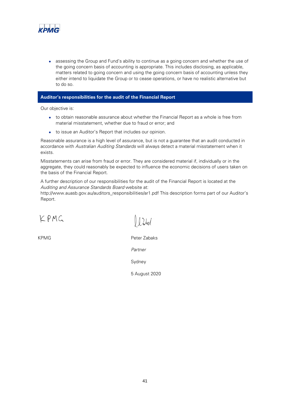

assessing the Group and Fund's ability to continue as a going concern and whether the use of the going concern basis of accounting is appropriate. This includes disclosing, as applicable, matters related to going concern and using the going concern basis of accounting unless they either intend to liquidate the Group or to cease operations, or have no realistic alternative but to do so.

### **Auditor's responsibilities for the audit of the Financial Report**

Our objective is:

- to obtain reasonable assurance about whether the Financial Report as a whole is free from material misstatement, whether due to fraud or error; and
- to issue an Auditor's Report that includes our opinion.

Reasonable assurance is a high level of assurance, but is not a guarantee that an audit conducted in accordance with Australian Auditing Standards will always detect a material misstatement when it exists.

Misstatements can arise from fraud or error. They are considered material if, individually or in the aggregate, they could reasonably be expected to influence the economic decisions of users taken on the basis of the Financial Report.

A further description of our responsibilities for the audit of the Financial Report is located at the Auditing and Assurance Standards Board website at:

http://www.auasb.gov.au/auditors\_responsibilities/ar1.pdf This description forms part of our Auditor's Report.

KPMG

 $l$  )  $l$ 

KPMG Peter Zabaks

Partner

Sydney

5 August 2020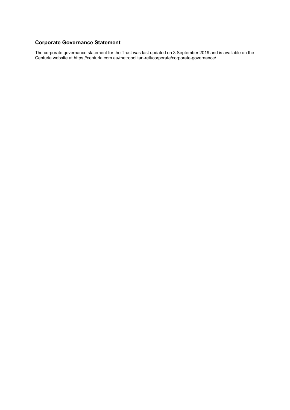### <span id="page-43-0"></span>**Corporate Governance Statement**

The corporate governance statement for the Trust was last updated on 3 September 2019 and is available on the Centuria website at https://centuria.com.au/metropolitan-reit/corporate/corporate-governance/.